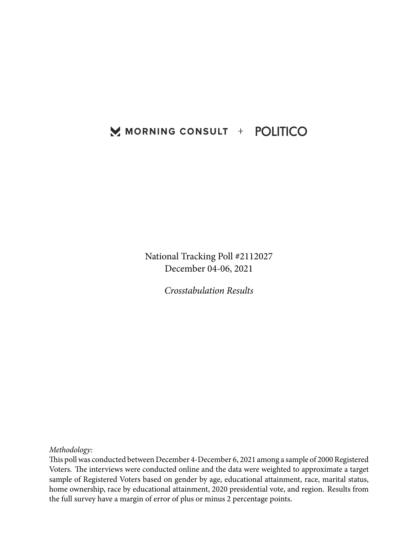# MORNING CONSULT + POLITICO

National Tracking Poll #2112027 December 04-06, 2021

*Crosstabulation Results*

*Methodology:*

This poll was conducted between December 4-December 6, 2021 among a sample of 2000 Registered Voters. The interviews were conducted online and the data were weighted to approximate a target sample of Registered Voters based on gender by age, educational attainment, race, marital status, home ownership, race by educational attainment, 2020 presidential vote, and region. Results from the full survey have a margin of error of plus or minus 2 percentage points.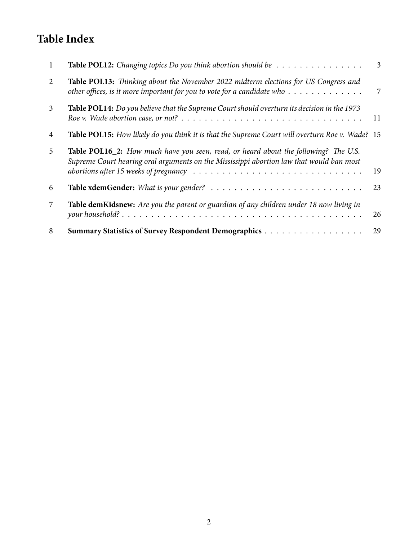# **Table Index**

|    | Table POL12: Changing topics Do you think abortion should be                                                                                                                                                                                                                                            | 3  |
|----|---------------------------------------------------------------------------------------------------------------------------------------------------------------------------------------------------------------------------------------------------------------------------------------------------------|----|
| 2  | Table POL13: Thinking about the November 2022 midterm elections for US Congress and<br>other offices, is it more important for you to vote for a candidate who                                                                                                                                          | 7  |
| 3  | Table POL14: Do you believe that the Supreme Court should overturn its decision in the 1973<br>Roe v. Wade abortion case, or not? $\ldots \ldots \ldots \ldots \ldots \ldots \ldots \ldots \ldots \ldots \ldots$                                                                                        | 11 |
| 4  | Table POL15: How likely do you think it is that the Supreme Court will overturn Roe v. Wade? 15                                                                                                                                                                                                         |    |
| 5. | <b>Table POL16_2:</b> How much have you seen, read, or heard about the following? The U.S.<br>Supreme Court hearing oral arguments on the Mississippi abortion law that would ban most<br>abortions after 15 weeks of pregnancy $\ldots \ldots \ldots \ldots \ldots \ldots \ldots \ldots \ldots \ldots$ | 19 |
| 6  |                                                                                                                                                                                                                                                                                                         | 23 |
| 7  | Table demKidsnew: Are you the parent or guardian of any children under 18 now living in                                                                                                                                                                                                                 | 26 |
| 8  |                                                                                                                                                                                                                                                                                                         | 29 |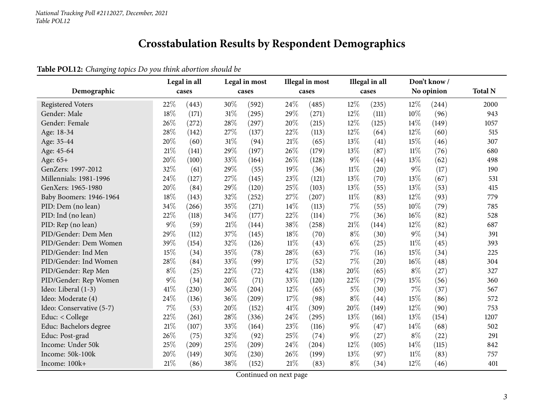# **Crosstabulation Results by Respondent Demographics**

### **Table POL12:** *Changing topics Do you think abortion should be*

<span id="page-2-0"></span>

|                          |       | Legal in all |      | Legal in most |        | <b>Illegal</b> in most |        | Illegal in all |        | Don't know/ |                |
|--------------------------|-------|--------------|------|---------------|--------|------------------------|--------|----------------|--------|-------------|----------------|
| Demographic              |       | cases        |      | cases         |        | cases                  |        | cases          |        | No opinion  | <b>Total N</b> |
| <b>Registered Voters</b> | 22%   | (443)        | 30%  | (592)         | 24%    | (485)                  | 12%    | (235)          | 12%    | (244)       | 2000           |
| Gender: Male             | 18%   | (171)        | 31%  | (295)         | 29%    | (271)                  | 12%    | (111)          | 10%    | (96)        | 943            |
| Gender: Female           | 26%   | (272)        | 28%  | (297)         | 20%    | (215)                  | 12%    | (125)          | 14%    | (149)       | 1057           |
| Age: 18-34               | 28%   | (142)        | 27%  | (137)         | 22%    | (113)                  | 12%    | (64)           | 12%    | (60)        | 515            |
| Age: 35-44               | 20%   | (60)         | 31%  | (94)          | 21%    | (65)                   | 13%    | (41)           | 15%    | (46)        | 307            |
| Age: 45-64               | 21%   | (141)        | 29%  | (197)         | 26%    | (179)                  | 13%    | (87)           | $11\%$ | (76)        | 680            |
| Age: 65+                 | 20%   | (100)        | 33%  | (164)         | 26%    | (128)                  | $9\%$  | (44)           | 13%    | (62)        | 498            |
| GenZers: 1997-2012       | 32%   | (61)         | 29%  | (55)          | 19%    | (36)                   | $11\%$ | (20)           | $9\%$  | (17)        | 190            |
| Millennials: 1981-1996   | 24%   | (127)        | 27%  | (145)         | 23%    | (121)                  | 13%    | (70)           | 13%    | (67)        | 531            |
| GenXers: 1965-1980       | 20%   | (84)         | 29%  | (120)         | 25%    | (103)                  | 13%    | (55)           | 13%    | (53)        | 415            |
| Baby Boomers: 1946-1964  | 18%   | (143)        | 32%  | (252)         | 27%    | (207)                  | $11\%$ | (83)           | 12%    | (93)        | 779            |
| PID: Dem (no lean)       | 34%   | (266)        | 35%  | (271)         | 14%    | (113)                  | 7%     | (55)           | $10\%$ | (79)        | 785            |
| PID: Ind (no lean)       | 22%   | (118)        | 34\% | (177)         | 22%    | (114)                  | 7%     | (36)           | 16%    | (82)        | 528            |
| PID: Rep (no lean)       | 9%    | (59)         | 21%  | (144)         | 38%    | (258)                  | $21\%$ | (144)          | 12%    | (82)        | 687            |
| PID/Gender: Dem Men      | 29%   | (112)        | 37%  | (145)         | 18%    | (70)                   | $8\%$  | (30)           | $9\%$  | (34)        | 391            |
| PID/Gender: Dem Women    | 39%   | (154)        | 32%  | (126)         | $11\%$ | (43)                   | $6\%$  | (25)           | $11\%$ | (45)        | 393            |
| PID/Gender: Ind Men      | 15%   | (34)         | 35%  | (78)          | 28%    | (63)                   | 7%     | (16)           | 15%    | (34)        | 225            |
| PID/Gender: Ind Women    | 28%   | (84)         | 33%  | (99)          | 17%    | (52)                   | 7%     | (20)           | 16%    | (48)        | 304            |
| PID/Gender: Rep Men      | $8\%$ | (25)         | 22%  | (72)          | 42%    | (138)                  | 20%    | (65)           | $8\%$  | (27)        | 327            |
| PID/Gender: Rep Women    | 9%    | (34)         | 20%  | (71)          | 33%    | (120)                  | 22%    | (79)           | 15%    | (56)        | 360            |
| Ideo: Liberal (1-3)      | 41%   | (230)        | 36%  | (204)         | 12%    | (65)                   | $5\%$  | (30)           | 7%     | (37)        | 567            |
| Ideo: Moderate (4)       | 24%   | (136)        | 36%  | (209)         | 17%    | (98)                   | $8\%$  | (44)           | 15%    | (86)        | 572            |
| Ideo: Conservative (5-7) | 7%    | (53)         | 20%  | (152)         | 41%    | (309)                  | 20%    | (149)          | 12%    | (90)        | 753            |
| Educ: < College          | 22%   | (261)        | 28%  | (336)         | 24%    | (295)                  | 13%    | (161)          | 13%    | (154)       | 1207           |
| Educ: Bachelors degree   | 21%   | (107)        | 33%  | (164)         | 23%    | (116)                  | $9\%$  | (47)           | 14%    | (68)        | 502            |
| Educ: Post-grad          | 26%   | (75)         | 32%  | (92)          | 25%    | (74)                   | 9%     | (27)           | $8\%$  | (22)        | 291            |
| Income: Under 50k        | 25%   | (209)        | 25%  | (209)         | 24%    | (204)                  | 12%    | (105)          | 14%    | (115)       | 842            |
| Income: 50k-100k         | 20%   | (149)        | 30%  | (230)         | 26%    | (199)                  | 13%    | (97)           | $11\%$ | (83)        | 757            |
| Income: 100k+            | 21%   | (86)         | 38%  | (152)         | 21%    | (83)                   | $8\%$  | (34)           | 12%    | (46)        | 401            |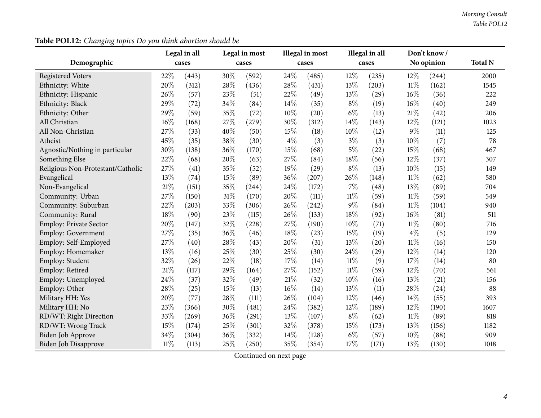| Demographic                       |        | Legal in all<br>cases |        | Legal in most<br>cases |        | Illegal in most<br>cases |        | Illegal in all<br>cases |        | Don't know /<br>No opinion | <b>Total N</b> |
|-----------------------------------|--------|-----------------------|--------|------------------------|--------|--------------------------|--------|-------------------------|--------|----------------------------|----------------|
|                                   |        |                       |        |                        |        |                          |        |                         |        |                            |                |
| <b>Registered Voters</b>          | 22%    | (443)                 | 30%    | (592)                  | 24%    | (485)                    | 12%    | (235)                   | 12%    | (244)                      | 2000           |
| Ethnicity: White                  | 20%    | (312)                 | 28%    | (436)                  | 28%    | (431)                    | 13%    | (203)                   | $11\%$ | (162)                      | 1545           |
| Ethnicity: Hispanic               | 26%    | (57)                  | 23%    | (51)                   | 22%    | (49)                     | 13%    | (29)                    | 16%    | (36)                       | 222            |
| Ethnicity: Black                  | 29%    | (72)                  | 34%    | (84)                   | 14%    | (35)                     | $8\%$  | (19)                    | 16%    | (40)                       | 249            |
| Ethnicity: Other                  | 29%    | (59)                  | 35%    | (72)                   | 10%    | (20)                     | $6\%$  | (13)                    | 21%    | (42)                       | 206            |
| All Christian                     | $16\%$ | (168)                 | 27%    | (279)                  | 30%    | (312)                    | 14%    | (143)                   | 12%    | (121)                      | 1023           |
| All Non-Christian                 | 27%    | (33)                  | 40%    | (50)                   | 15%    | (18)                     | 10%    | (12)                    | $9\%$  | (11)                       | 125            |
| Atheist                           | 45%    | (35)                  | 38%    | (30)                   | $4\%$  | (3)                      | $3\%$  | (3)                     | 10%    | (7)                        | 78             |
| Agnostic/Nothing in particular    | 30%    | (138)                 | 36%    | (170)                  | 15%    | (68)                     | $5\%$  | (22)                    | 15%    | (68)                       | 467            |
| Something Else                    | 22%    | (68)                  | 20%    | (63)                   | 27%    | (84)                     | 18%    | (56)                    | 12%    | (37)                       | 307            |
| Religious Non-Protestant/Catholic | 27%    | (41)                  | 35%    | (52)                   | 19%    | (29)                     | $8\%$  | (13)                    | 10%    | (15)                       | 149            |
| Evangelical                       | 13%    | (74)                  | 15%    | (89)                   | 36%    | (207)                    | 26%    | (148)                   | $11\%$ | (62)                       | 580            |
| Non-Evangelical                   | 21%    | (151)                 | 35%    | (244)                  | 24%    | (172)                    | $7\%$  | (48)                    | 13%    | (89)                       | 704            |
| Community: Urban                  | 27%    | (150)                 | $31\%$ | (170)                  | 20%    | (111)                    | $11\%$ | (59)                    | $11\%$ | (59)                       | 549            |
| Community: Suburban               | 22%    | (203)                 | 33%    | (306)                  | 26%    | (242)                    | $9\%$  | (84)                    | $11\%$ | (104)                      | 940            |
| Community: Rural                  | 18%    | (90)                  | 23%    | (115)                  | 26%    | (133)                    | 18%    | (92)                    | 16%    | (81)                       | 511            |
| Employ: Private Sector            | 20%    | (147)                 | 32%    | (228)                  | 27%    | (190)                    | 10%    | (71)                    | $11\%$ | (80)                       | 716            |
| <b>Employ: Government</b>         | 27%    | (35)                  | 36%    | (46)                   | 18%    | (23)                     | 15%    | (19)                    | $4\%$  | (5)                        | 129            |
| Employ: Self-Employed             | 27%    | (40)                  | 28%    | (43)                   | 20%    | (31)                     | 13%    | (20)                    | $11\%$ | (16)                       | 150            |
| Employ: Homemaker                 | 13%    | (16)                  | 25%    | (30)                   | 25%    | (30)                     | 24%    | (29)                    | 12%    | (14)                       | 120            |
| Employ: Student                   | 32%    | (26)                  | 22%    | (18)                   | 17%    | (14)                     | 11%    | (9)                     | 17%    | (14)                       | 80             |
| Employ: Retired                   | 21%    | (117)                 | 29%    | (164)                  | 27%    | (152)                    | $11\%$ | (59)                    | 12%    | (70)                       | 561            |
| Employ: Unemployed                | 24%    | (37)                  | 32%    | (49)                   | $21\%$ | (32)                     | 10%    | (16)                    | 13%    | (21)                       | 156            |
| Employ: Other                     | 28%    | (25)                  | 15%    | (13)                   | 16%    | (14)                     | 13%    | (11)                    | 28%    | (24)                       | 88             |
| Military HH: Yes                  | 20%    | (77)                  | 28%    | (111)                  | 26%    | (104)                    | 12%    | (46)                    | 14%    | (55)                       | 393            |
| Military HH: No                   | 23%    | (366)                 | 30%    | (481)                  | 24%    | (382)                    | 12%    | (189)                   | 12%    | (190)                      | 1607           |
| RD/WT: Right Direction            | 33%    | (269)                 | 36%    | (291)                  | 13%    | (107)                    | $8\%$  | (62)                    | $11\%$ | (89)                       | 818            |
| RD/WT: Wrong Track                | 15%    | (174)                 | 25%    | (301)                  | 32%    | (378)                    | 15%    | (173)                   | 13%    | (156)                      | 1182           |
| Biden Job Approve                 | 34%    | (304)                 | 36%    | (332)                  | 14%    | (128)                    | $6\%$  | (57)                    | 10%    | (88)                       | 909            |
| <b>Biden Job Disapprove</b>       | $11\%$ | (113)                 | 25%    | (250)                  | 35%    | (354)                    | 17%    | (171)                   | 13%    | (130)                      | 1018           |

**Table POL12:** *Changing topics Do you think abortion should be*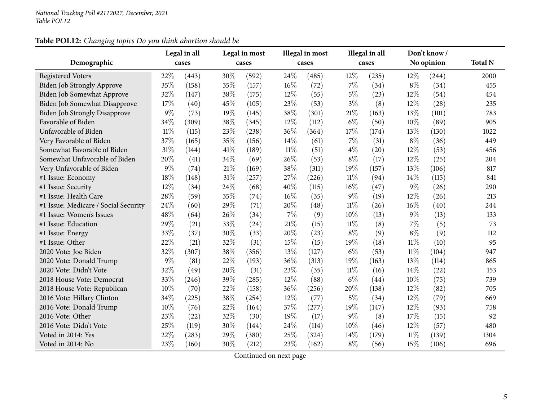# **Table POL12:** *Changing topics Do you think abortion should be*

|                                      |        | Legal in all |      | Legal in most |        | Illegal in most |        | Illegal in all |        | Don't know / |                |
|--------------------------------------|--------|--------------|------|---------------|--------|-----------------|--------|----------------|--------|--------------|----------------|
| Demographic                          |        | cases        |      | cases         |        | cases           |        | cases          |        | No opinion   | <b>Total N</b> |
| <b>Registered Voters</b>             | 22%    | (443)        | 30%  | (592)         | 24\%   | (485)           | 12%    | (235)          | 12%    | (244)        | 2000           |
| Biden Job Strongly Approve           | 35%    | (158)        | 35%  | (157)         | $16\%$ | (72)            | 7%     | (34)           | $8\%$  | (34)         | 455            |
| Biden Job Somewhat Approve           | 32%    | (147)        | 38\% | (175)         | 12%    | (55)            | $5\%$  | (23)           | 12%    | (54)         | 454            |
| Biden Job Somewhat Disapprove        | 17%    | (40)         | 45%  | (105)         | 23%    | (53)            | $3\%$  | (8)            | 12%    | (28)         | 235            |
| <b>Biden Job Strongly Disapprove</b> | $9\%$  | (73)         | 19%  | (145)         | 38%    | (301)           | $21\%$ | (163)          | 13%    | (101)        | 783            |
| Favorable of Biden                   | 34%    | (309)        | 38%  | (345)         | 12%    | (112)           | $6\%$  | (50)           | 10%    | (89)         | 905            |
| Unfavorable of Biden                 | $11\%$ | (115)        | 23%  | (238)         | 36%    | (364)           | 17%    | (174)          | 13%    | (130)        | 1022           |
| Very Favorable of Biden              | 37%    | (165)        | 35%  | (156)         | 14%    | (61)            | 7%     | (31)           | $8\%$  | (36)         | 449            |
| Somewhat Favorable of Biden          | 31%    | (144)        | 41\% | (189)         | $11\%$ | (51)            | $4\%$  | (20)           | 12%    | (53)         | 456            |
| Somewhat Unfavorable of Biden        | 20%    | (41)         | 34%  | (69)          | 26%    | (53)            | $8\%$  | (17)           | 12%    | (25)         | 204            |
| Very Unfavorable of Biden            | $9\%$  | (74)         | 21%  | (169)         | 38%    | (311)           | 19%    | (157)          | 13%    | (106)        | 817            |
| #1 Issue: Economy                    | 18%    | (148)        | 31%  | (257)         | 27%    | (226)           | $11\%$ | (94)           | 14\%   | (115)        | 841            |
| #1 Issue: Security                   | 12%    | (34)         | 24%  | (68)          | 40%    | (115)           | 16%    | (47)           | $9\%$  | (26)         | 290            |
| #1 Issue: Health Care                | 28%    | (59)         | 35%  | (74)          | $16\%$ | (35)            | $9\%$  | (19)           | 12%    | (26)         | 213            |
| #1 Issue: Medicare / Social Security | 24%    | (60)         | 29%  | (71)          | 20%    | (48)            | $11\%$ | (26)           | 16%    | (40)         | 244            |
| #1 Issue: Women's Issues             | 48%    | (64)         | 26%  | (34)          | $7\%$  | (9)             | 10%    | (13)           | $9\%$  | (13)         | 133            |
| #1 Issue: Education                  | 29%    | (21)         | 33%  | (24)          | 21%    | (15)            | $11\%$ | (8)            | 7%     | (5)          | 73             |
| #1 Issue: Energy                     | 33%    | (37)         | 30%  | (33)          | 20%    | (23)            | $8\%$  | (9)            | $8\%$  | (9)          | 112            |
| #1 Issue: Other                      | 22%    | (21)         | 32%  | (31)          | 15%    | (15)            | 19%    | (18)           | $11\%$ | (10)         | 95             |
| 2020 Vote: Joe Biden                 | 32%    | (307)        | 38%  | (356)         | 13%    | (127)           | $6\%$  | (53)           | $11\%$ | (104)        | 947            |
| 2020 Vote: Donald Trump              | $9\%$  | (81)         | 22%  | (193)         | 36%    | (313)           | 19%    | (163)          | 13%    | (114)        | 865            |
| 2020 Vote: Didn't Vote               | 32%    | (49)         | 20%  | (31)          | 23%    | (35)            | $11\%$ | (16)           | 14%    | (22)         | 153            |
| 2018 House Vote: Democrat            | 33%    | (246)        | 39%  | (285)         | 12%    | (88)            | $6\%$  | (44)           | 10%    | (75)         | 739            |
| 2018 House Vote: Republican          | 10%    | (70)         | 22%  | (158)         | 36%    | (256)           | 20%    | (138)          | 12%    | (82)         | 705            |
| 2016 Vote: Hillary Clinton           | 34%    | (225)        | 38%  | (254)         | 12%    | (77)            | $5\%$  | (34)           | 12%    | (79)         | 669            |
| 2016 Vote: Donald Trump              | 10%    | (76)         | 22%  | (164)         | 37%    | (277)           | 19%    | (147)          | 12%    | (93)         | 758            |
| 2016 Vote: Other                     | 23%    | (22)         | 32%  | (30)          | 19%    | (17)            | $9\%$  | (8)            | 17%    | (15)         | 92             |
| 2016 Vote: Didn't Vote               | 25%    | (119)        | 30%  | (144)         | 24\%   | (114)           | 10%    | (46)           | 12%    | (57)         | 480            |
| Voted in 2014: Yes                   | 22%    | (283)        | 29%  | (380)         | 25%    | (324)           | 14\%   | (179)          | $11\%$ | (139)        | 1304           |
| Voted in 2014: No                    | 23%    | (160)        | 30%  | (212)         | 23\%   | (162)           | $8\%$  | (56)           | 15%    | (106)        | 696            |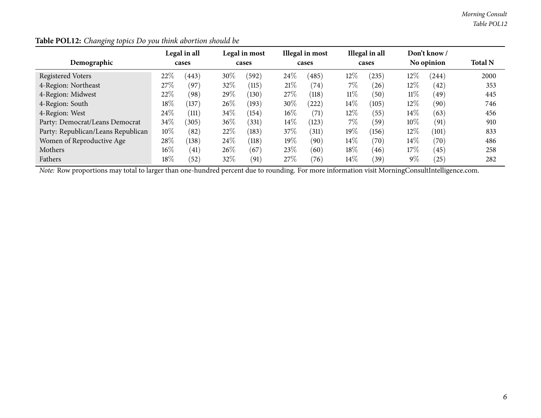|                                    |        | Legal in all |        | Legal in most |        | Illegal in most |        | Illegal in all |        | Don't know /   |                |
|------------------------------------|--------|--------------|--------|---------------|--------|-----------------|--------|----------------|--------|----------------|----------------|
| Demographic                        |        | cases        |        | cases         |        | cases           |        | cases          |        | No opinion     | <b>Total N</b> |
| <b>Registered Voters</b>           | 22%    | (443)        | 30%    | (592)         | 24%    | (485)           | $12\%$ | (235)          | $12\%$ | (244)          | 2000           |
| 4-Region: Northeast                | 27\%   | (97)         | 32\%   | (115)         | 21%    | (74)            | 7%     | (26)           | 12\%   | $^{(42)}$      | 353            |
| 4-Region: Midwest                  | 22%    | (98)         | 29\%   | (130)         | 27%    | (118)           | $11\%$ | (50)           | $11\%$ | (49)           | 445            |
| 4-Region: South                    | $18\%$ | (137)        | $26\%$ | (193)         | 30%    | (222)           | $14\%$ | (105)          | $12\%$ | (90)           | 746            |
| 4-Region: West                     | 24%    | (111)        | 34\%   | (154)         | $16\%$ | (71)            | $12\%$ | (55)           | $14\%$ | (63)           | 456            |
| Party: Democrat/Leans Democrat     | 34\%   | (305)        | 36\%   | (331)         | $14\%$ | (123)           | 7%     | (59)           | 10%    | (91)           | 910            |
| Party: Republican/Leans Republican | $10\%$ | (82)         | 22%    | (183)         | 37%    | (311)           | 19%    | (156)          | $12\%$ | (101)          | 833            |
| Women of Reproductive Age          | 28%    | (138)        | 24\%   | (118)         | 19%    | (90)            | $14\%$ | (70)           | 14\%   | $^{\prime}70)$ | 486            |
| Mothers                            | $16\%$ | (41)         | $26\%$ | (67)          | 23%    | (60)            | $18\%$ | (46)           | 17%    | (45)           | 258            |
| Fathers                            | 18%    | (52)         | 32%    | (91)          | 27%    | (76)            | $14\%$ | (39)           | $9\%$  | $^{'}25$       | 282            |

| Table POL12: Changing topics Do you think abortion should be |
|--------------------------------------------------------------|
|--------------------------------------------------------------|

*Note:* Row proportions may total to larger than one-hundred percen<sup>t</sup> due to rounding. For more information visit [MorningConsultIntelligence.com](https://morningconsultintelligence.com).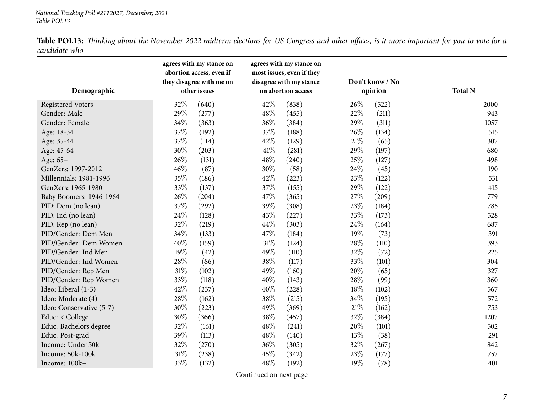<span id="page-6-0"></span>

| Demographic              | agrees with my stance on<br>abortion access, even if<br>they disagree with me on<br>other issues | agrees with my stance on<br>most issues, even if they<br>disagree with my stance<br>on abortion access | Don't know / No<br>opinion | <b>Total N</b> |
|--------------------------|--------------------------------------------------------------------------------------------------|--------------------------------------------------------------------------------------------------------|----------------------------|----------------|
|                          |                                                                                                  |                                                                                                        |                            |                |
| <b>Registered Voters</b> | 32%<br>(640)                                                                                     | 42%<br>(838)                                                                                           | 26%<br>(522)               | 2000           |
| Gender: Male             | 29%<br>(277)                                                                                     | 48%<br>(455)                                                                                           | 22%<br>(211)               | 943            |
| Gender: Female           | 34%<br>(363)                                                                                     | 36%<br>(384)                                                                                           | 29%<br>(311)               | 1057           |
| Age: 18-34               | 37%<br>(192)                                                                                     | 37%<br>(188)                                                                                           | 26%<br>(134)               | 515            |
| Age: 35-44               | 37%<br>(114)                                                                                     | 42%<br>(129)                                                                                           | 21%<br>(65)                | 307            |
| Age: 45-64               | 30%<br>(203)                                                                                     | 41%<br>(281)                                                                                           | 29%<br>(197)               | 680            |
| Age: 65+                 | 26%<br>(131)                                                                                     | 48%<br>(240)                                                                                           | 25%<br>(127)               | 498            |
| GenZers: 1997-2012       | $46\%$<br>(87)                                                                                   | 30%<br>(58)                                                                                            | 24%<br>(45)                | 190            |
| Millennials: 1981-1996   | 35%<br>(186)                                                                                     | 42%<br>(223)                                                                                           | 23%<br>(122)               | 531            |
| GenXers: 1965-1980       | 33%<br>(137)                                                                                     | 37%<br>(155)                                                                                           | 29%<br>(122)               | 415            |
| Baby Boomers: 1946-1964  | 26\%<br>(204)                                                                                    | 47%<br>(365)                                                                                           | 27%<br>(209)               | 779            |
| PID: Dem (no lean)       | 37%<br>(292)                                                                                     | 39%<br>(308)                                                                                           | 23%<br>(184)               | 785            |
| PID: Ind (no lean)       | 24\%<br>(128)                                                                                    | 43%<br>(227)                                                                                           | 33%<br>(173)               | 528            |
| PID: Rep (no lean)       | 32%<br>(219)                                                                                     | 44%<br>(303)                                                                                           | 24\%<br>(164)              | 687            |
| PID/Gender: Dem Men      | 34%<br>(133)                                                                                     | 47%<br>(184)                                                                                           | 19%<br>(73)                | 391            |
| PID/Gender: Dem Women    | 40%<br>(159)                                                                                     | 31%<br>(124)                                                                                           | 28%<br>(110)               | 393            |
| PID/Gender: Ind Men      | 19%<br>(42)                                                                                      | 49%<br>(110)                                                                                           | 32%<br>(72)                | 225            |
| PID/Gender: Ind Women    | 28%<br>(86)                                                                                      | 38%<br>(117)                                                                                           | 33%<br>(101)               | 304            |
| PID/Gender: Rep Men      | 31\%<br>(102)                                                                                    | 49%<br>(160)                                                                                           | 20%<br>(65)                | 327            |
| PID/Gender: Rep Women    | 33%<br>(118)                                                                                     | 40%<br>(143)                                                                                           | 28%<br>(99)                | 360            |
| Ideo: Liberal (1-3)      | 42\%<br>(237)                                                                                    | 40%<br>(228)                                                                                           | 18%<br>(102)               | 567            |
| Ideo: Moderate (4)       | 28\%<br>(162)                                                                                    | 38%<br>(215)                                                                                           | 34%<br>(195)               | 572            |
| Ideo: Conservative (5-7) | 30%<br>(223)                                                                                     | 49%<br>(369)                                                                                           | 21%<br>(162)               | 753            |
| Educ: < College          | 30%<br>(366)                                                                                     | 38%<br>(457)                                                                                           | 32%<br>(384)               | 1207           |
| Educ: Bachelors degree   | 32%<br>(161)                                                                                     | 48%<br>(241)                                                                                           | 20%<br>(101)               | 502            |
| Educ: Post-grad          | 39%<br>(113)                                                                                     | 48%<br>(140)                                                                                           | 13%<br>(38)                | 291            |
| Income: Under 50k        | 32%<br>(270)                                                                                     | 36%<br>(305)                                                                                           | 32%<br>(267)               | 842            |
| Income: 50k-100k         | 31%<br>(238)                                                                                     | 45%<br>(342)                                                                                           | 23%<br>(177)               | 757            |
| Income: 100k+            | 33%<br>(132)                                                                                     | 48%<br>(192)                                                                                           | 19%<br>(78)                | 401            |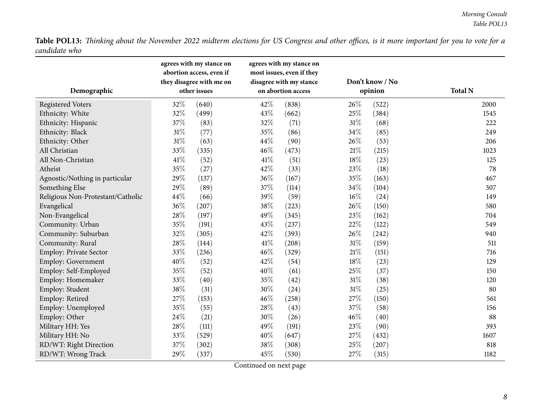| Demographic                       | agrees with my stance on<br>abortion access, even if<br>they disagree with me on<br>other issues | agrees with my stance on<br>most issues, even if they<br>disagree with my stance<br>on abortion access | Don't know / No<br>opinion | <b>Total N</b> |
|-----------------------------------|--------------------------------------------------------------------------------------------------|--------------------------------------------------------------------------------------------------------|----------------------------|----------------|
| <b>Registered Voters</b>          | 32%<br>(640)                                                                                     | 42%<br>(838)                                                                                           | 26%<br>(522)               | 2000           |
| Ethnicity: White                  | 32%<br>(499)                                                                                     | 43%<br>(662)                                                                                           | 25%<br>(384)               | 1545           |
| Ethnicity: Hispanic               | 37%<br>(83)                                                                                      | 32%<br>(71)                                                                                            | 31%<br>(68)                | 222            |
| Ethnicity: Black                  | 31%<br>(77)                                                                                      | 35%<br>(86)                                                                                            | 34%<br>(85)                | 249            |
| Ethnicity: Other                  | 31%<br>(63)                                                                                      | 44%<br>(90)                                                                                            | 26\%<br>(53)               | 206            |
| All Christian                     | 33%<br>(335)                                                                                     | 46%<br>(473)                                                                                           | $21\%$<br>(215)            | 1023           |
| All Non-Christian                 | 41%<br>(52)                                                                                      | 41\%<br>(51)                                                                                           | 18%<br>(23)                | 125            |
| Atheist                           | 35%<br>(27)                                                                                      | 42%<br>(33)                                                                                            | 23%<br>(18)                | 78             |
| Agnostic/Nothing in particular    | 29%<br>(137)                                                                                     | 36%<br>(167)                                                                                           | 35%<br>(163)               | 467            |
| Something Else                    | 29%<br>(89)                                                                                      | 37%<br>(114)                                                                                           | 34%<br>(104)               | 307            |
| Religious Non-Protestant/Catholic | 44%<br>(66)                                                                                      | 39%<br>(59)                                                                                            | 16%<br>(24)                | 149            |
| Evangelical                       | 36%<br>(207)                                                                                     | 38%<br>(223)                                                                                           | 26%<br>(150)               | 580            |
| Non-Evangelical                   | 28%<br>(197)                                                                                     | 49%<br>(345)                                                                                           | 23%<br>(162)               | 704            |
| Community: Urban                  | 35%<br>(191)                                                                                     | 43%<br>(237)                                                                                           | 22%<br>(122)               | 549            |
| Community: Suburban               | 32%<br>(305)                                                                                     | 42%<br>(393)                                                                                           | 26\%<br>(242)              | 940            |
| Community: Rural                  | 28%<br>(144)                                                                                     | 41\%<br>(208)                                                                                          | $31\%$<br>(159)            | 511            |
| Employ: Private Sector            | 33%<br>(236)                                                                                     | 46%<br>(329)                                                                                           | $21\%$<br>(151)            | 716            |
| Employ: Government                | 40%<br>(52)                                                                                      | 42%<br>(54)                                                                                            | 18%<br>(23)                | 129            |
| Employ: Self-Employed             | 35%<br>(52)                                                                                      | 40%<br>(61)                                                                                            | 25%<br>(37)                | 150            |
| Employ: Homemaker                 | 33%<br>(40)                                                                                      | 35%<br>(42)                                                                                            | 31%<br>(38)                | 120            |
| Employ: Student                   | 38%<br>(31)                                                                                      | 30%<br>(24)                                                                                            | 31%<br>(25)                | 80             |
| Employ: Retired                   | 27%<br>(153)                                                                                     | 46%<br>(258)                                                                                           | 27%<br>(150)               | 561            |
| Employ: Unemployed                | 35%<br>(55)                                                                                      | 28%<br>(43)                                                                                            | 37%<br>(58)                | 156            |
| Employ: Other                     | 24%<br>(21)                                                                                      | 30%<br>(26)                                                                                            | 46%<br>(40)                | 88             |
| Military HH: Yes                  | 28%<br>(111)                                                                                     | 49%<br>(191)                                                                                           | 23%<br>(90)                | 393            |
| Military HH: No                   | 33%<br>(529)                                                                                     | 40%<br>(647)                                                                                           | 27%<br>(432)               | 1607           |
| RD/WT: Right Direction            | 37%<br>(302)                                                                                     | 38%<br>(308)                                                                                           | 25%<br>(207)               | 818            |
| RD/WT: Wrong Track                | 29%<br>(337)                                                                                     | 45%<br>(530)                                                                                           | 27%<br>(315)               | 1182           |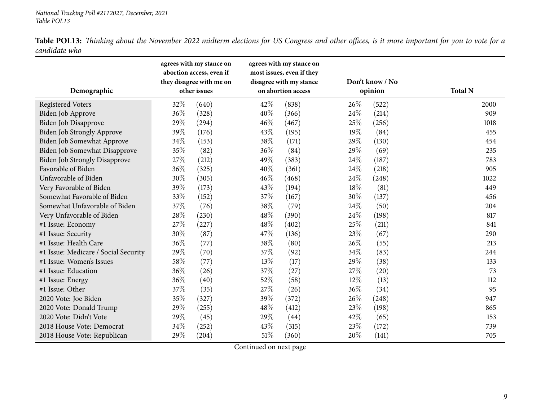| Demographic                          |     | agrees with my stance on<br>abortion access, even if<br>they disagree with me on<br>other issues |        | agrees with my stance on<br>most issues, even if they<br>disagree with my stance<br>on abortion access |        | Don't know / No<br>opinion | <b>Total N</b> |
|--------------------------------------|-----|--------------------------------------------------------------------------------------------------|--------|--------------------------------------------------------------------------------------------------------|--------|----------------------------|----------------|
| <b>Registered Voters</b>             | 32% | (640)                                                                                            | 42\%   | (838)                                                                                                  | 26%    | (522)                      | 2000           |
| Biden Job Approve                    | 36% | (328)                                                                                            | 40%    | (366)                                                                                                  | 24\%   | (214)                      | 909            |
| Biden Job Disapprove                 | 29% | (294)                                                                                            | 46%    | (467)                                                                                                  | 25%    | (256)                      | 1018           |
| Biden Job Strongly Approve           | 39% | (176)                                                                                            | 43%    | (195)                                                                                                  | 19%    | (84)                       | 455            |
| <b>Biden Job Somewhat Approve</b>    | 34% | (153)                                                                                            | 38%    | (171)                                                                                                  | 29%    | (130)                      | 454            |
| Biden Job Somewhat Disapprove        | 35% | (82)                                                                                             | 36%    | (84)                                                                                                   | 29%    | (69)                       | 235            |
| Biden Job Strongly Disapprove        | 27% | (212)                                                                                            | 49%    | (383)                                                                                                  | 24%    | (187)                      | 783            |
| Favorable of Biden                   | 36% | (325)                                                                                            | 40%    | (361)                                                                                                  | 24\%   | (218)                      | 905            |
| Unfavorable of Biden                 | 30% | (305)                                                                                            | 46%    | (468)                                                                                                  | 24\%   | (248)                      | 1022           |
| Very Favorable of Biden              | 39% | (173)                                                                                            | 43%    | (194)                                                                                                  | 18%    | (81)                       | 449            |
| Somewhat Favorable of Biden          | 33% | (152)                                                                                            | 37%    | (167)                                                                                                  | 30%    | (137)                      | 456            |
| Somewhat Unfavorable of Biden        | 37% | (76)                                                                                             | 38%    | (79)                                                                                                   | 24\%   | (50)                       | 204            |
| Very Unfavorable of Biden            | 28% | (230)                                                                                            | 48\%   | (390)                                                                                                  | 24\%   | (198)                      | 817            |
| #1 Issue: Economy                    | 27% | (227)                                                                                            | 48\%   | (402)                                                                                                  | 25%    | (211)                      | 841            |
| #1 Issue: Security                   | 30% | (87)                                                                                             | 47\%   | (136)                                                                                                  | 23%    | (67)                       | 290            |
| #1 Issue: Health Care                | 36% | (77)                                                                                             | 38%    | (80)                                                                                                   | 26%    | (55)                       | 213            |
| #1 Issue: Medicare / Social Security | 29% | (70)                                                                                             | 37%    | (92)                                                                                                   | 34%    | (83)                       | 244            |
| #1 Issue: Women's Issues             | 58% | (77)                                                                                             | 13%    | (17)                                                                                                   | 29%    | (38)                       | 133            |
| #1 Issue: Education                  | 36% | (26)                                                                                             | 37%    | (27)                                                                                                   | 27%    | (20)                       | 73             |
| #1 Issue: Energy                     | 36% | (40)                                                                                             | 52%    | (58)                                                                                                   | $12\%$ | (13)                       | 112            |
| #1 Issue: Other                      | 37% | (35)                                                                                             | 27%    | (26)                                                                                                   | 36%    | (34)                       | 95             |
| 2020 Vote: Joe Biden                 | 35% | (327)                                                                                            | 39%    | (372)                                                                                                  | 26%    | (248)                      | 947            |
| 2020 Vote: Donald Trump              | 29% | (255)                                                                                            | 48%    | (412)                                                                                                  | 23%    | (198)                      | 865            |
| 2020 Vote: Didn't Vote               | 29% | (45)                                                                                             | 29%    | (44)                                                                                                   | 42%    | (65)                       | 153            |
| 2018 House Vote: Democrat            | 34% | (252)                                                                                            | 43\%   | (315)                                                                                                  | 23%    | (172)                      | 739            |
| 2018 House Vote: Republican          | 29% | (204)                                                                                            | $51\%$ | (360)                                                                                                  | 20%    | (141)                      | 705            |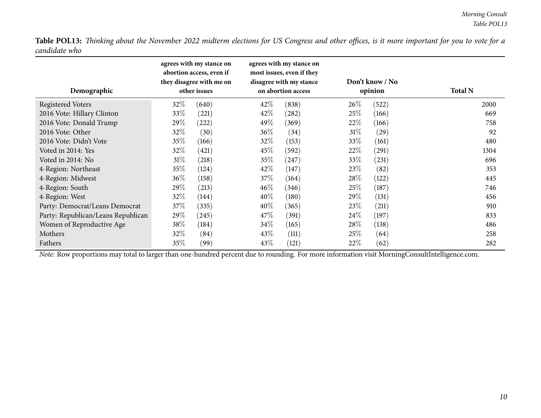| Demographic                        | agrees with my stance on<br>abortion access, even if<br>they disagree with me on<br>other issues | agrees with my stance on<br>most issues, even if they<br>disagree with my stance<br>on abortion access | Don't know / No<br>opinion | <b>Total N</b> |
|------------------------------------|--------------------------------------------------------------------------------------------------|--------------------------------------------------------------------------------------------------------|----------------------------|----------------|
| <b>Registered Voters</b>           | $32\%$<br>(640)                                                                                  | 42\%<br>(838)                                                                                          | 26\%<br>(522)              | 2000           |
| 2016 Vote: Hillary Clinton         | 33\%<br>(221)                                                                                    | 42\%<br>(282)                                                                                          | 25%<br>(166)               | 669            |
| 2016 Vote: Donald Trump            | 29\%<br>(222)                                                                                    | 49%<br>(369)                                                                                           | 22%<br>(166)               | 758            |
| 2016 Vote: Other                   | 32\%<br>(30)                                                                                     | $36\%$<br>(34)                                                                                         | $31\%$<br>(29)             | 92             |
| 2016 Vote: Didn't Vote             | 35%<br>(166)                                                                                     | 32%<br>(153)                                                                                           | 33\%<br>(161)              | 480            |
| Voted in 2014: Yes                 | 32%<br>(421)                                                                                     | 45\%<br>(592)                                                                                          | 22%<br>(291)               | 1304           |
| Voted in 2014: No                  | 31%<br>(218)                                                                                     | $35\%$<br>(247)                                                                                        | 33\%<br>(231)              | 696            |
| 4-Region: Northeast                | 35%<br>(124)                                                                                     | 42\%<br>(147)                                                                                          | 23\%<br>(82)               | 353            |
| 4-Region: Midwest                  | 36\%<br>(158)                                                                                    | 37\%<br>(164)                                                                                          | 28\%<br>(122)              | 445            |
| 4-Region: South                    | 29\%<br>(213)                                                                                    | $46\%$<br>(346)                                                                                        | 25%<br>(187)               | 746            |
| 4-Region: West                     | $32\%$<br>(144)                                                                                  | $40\%$<br>(180)                                                                                        | 29\%<br>(131)              | 456            |
| Party: Democrat/Leans Democrat     | 37\%<br>(335)                                                                                    | $40\%$<br>(365)                                                                                        | 23%<br>(211)               | 910            |
| Party: Republican/Leans Republican | 29\%<br>(245)                                                                                    | 47\%<br>(391)                                                                                          | 24\%<br>(197)              | 833            |
| Women of Reproductive Age          | 38\%<br>(184)                                                                                    | $34\%$<br>(165)                                                                                        | 28\%<br>(138)              | 486            |
| Mothers                            | 32\%<br>(84)                                                                                     | 43\%<br>(111)                                                                                          | 25\%<br>(64)               | 258            |
| Fathers                            | 35%<br>(99)                                                                                      | 43\%<br>(121)                                                                                          | 22%<br>(62)                | 282            |

*Note:* Row proportions may total to larger than one-hundred percen<sup>t</sup> due to rounding. For more information visit [MorningConsultIntelligence.com](https://morningconsultintelligence.com).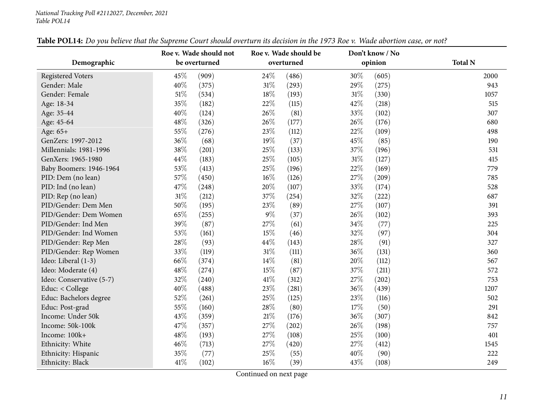<span id="page-10-0"></span>

|                          | Roe v. Wade should not |                 | Don't know / No |                |
|--------------------------|------------------------|-----------------|-----------------|----------------|
| Demographic              | be overturned          | overturned      | opinion         | <b>Total N</b> |
| <b>Registered Voters</b> | 45%<br>(909)           | 24\%<br>(486)   | 30%<br>(605)    | 2000           |
| Gender: Male             | 40%<br>(375)           | $31\%$<br>(293) | 29%<br>(275)    | 943            |
| Gender: Female           | 51%<br>(534)           | 18%<br>(193)    | 31%<br>(330)    | 1057           |
| Age: 18-34               | 35%<br>(182)           | 22%<br>(115)    | 42%<br>(218)    | 515            |
| Age: 35-44               | 40%<br>(124)           | 26\%<br>(81)    | 33%<br>(102)    | 307            |
| Age: 45-64               | 48%<br>(326)           | 26%<br>(177)    | 26%<br>(176)    | 680            |
| Age: 65+                 | 55%<br>(276)           | 23%<br>(112)    | 22%<br>(109)    | 498            |
| GenZers: 1997-2012       | 36%<br>(68)            | 19%<br>(37)     | 45%<br>(85)     | 190            |
| Millennials: 1981-1996   | 38%<br>(201)           | 25%<br>(133)    | 37%<br>(196)    | 531            |
| GenXers: 1965-1980       | 44%<br>(183)           | 25%<br>(105)    | 31%<br>(127)    | 415            |
| Baby Boomers: 1946-1964  | 53%<br>(413)           | 25%<br>(196)    | 22%<br>(169)    | 779            |
| PID: Dem (no lean)       | 57%<br>(450)           | 16%<br>(126)    | 27%<br>(209)    | 785            |
| PID: Ind (no lean)       | 47%<br>(248)           | 20%<br>(107)    | 33%<br>(174)    | 528            |
| PID: Rep (no lean)       | 31%<br>(212)           | 37%<br>(254)    | 32%<br>(222)    | 687            |
| PID/Gender: Dem Men      | 50%<br>(195)           | 23%<br>(89)     | 27%<br>(107)    | 391            |
| PID/Gender: Dem Women    | 65%<br>(255)           | $9\%$<br>(37)   | 26%<br>(102)    | 393            |
| PID/Gender: Ind Men      | 39%<br>(87)            | 27%<br>(61)     | 34%<br>(77)     | 225            |
| PID/Gender: Ind Women    | 53%<br>(161)           | 15%<br>(46)     | 32%<br>(97)     | 304            |
| PID/Gender: Rep Men      | 28%<br>(93)            | 44%<br>(143)    | 28%<br>(91)     | 327            |
| PID/Gender: Rep Women    | 33%<br>(119)           | 31%<br>(111)    | 36%<br>(131)    | 360            |
| Ideo: Liberal (1-3)      | 66%<br>(374)           | 14%<br>(81)     | 20%<br>(112)    | 567            |
| Ideo: Moderate (4)       | 48%<br>(274)           | 15%<br>(87)     | 37%<br>(211)    | 572            |
| Ideo: Conservative (5-7) | 32%<br>(240)           | 41\%<br>(312)   | 27%<br>(202)    | 753            |
| Educ: < College          | 40%<br>(488)           | 23%<br>(281)    | 36%<br>(439)    | 1207           |
| Educ: Bachelors degree   | 52%<br>(261)           | 25%<br>(125)    | 23%<br>(116)    | 502            |
| Educ: Post-grad          | 55%<br>(160)           | 28\%<br>(80)    | 17%<br>(50)     | 291            |
| Income: Under 50k        | 43%<br>(359)           | $21\%$<br>(176) | 36%<br>(307)    | 842            |
| Income: 50k-100k         | 47%<br>(357)           | 27\%<br>(202)   | 26%<br>(198)    | 757            |
| Income: 100k+            | 48%<br>(193)           | 27%<br>(108)    | 25%<br>(100)    | 401            |
| Ethnicity: White         | 46%<br>(713)           | 27%<br>(420)    | 27%<br>(412)    | 1545           |
| Ethnicity: Hispanic      | 35%<br>(77)            | 25%<br>(55)     | 40%<br>(90)     | 222            |
| Ethnicity: Black         | 41\%<br>(102)          | 16%<br>(39)     | 43%<br>(108)    | 249            |

## Table POL14: Do you believe that the Supreme Court should overturn its decision in the 1973 Roe v. Wade abortion case, or not?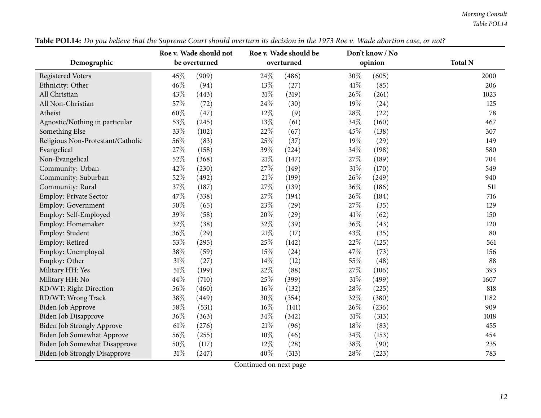*Morning Consult Table POL14*

| Demographic                          | Roe v. Wade should not<br>be overturned | Roe v. Wade should be<br>overturned | Don't know / No<br>opinion | <b>Total N</b> |
|--------------------------------------|-----------------------------------------|-------------------------------------|----------------------------|----------------|
| <b>Registered Voters</b>             | 45%<br>(909)                            | 24%<br>(486)                        | 30%<br>(605)               | 2000           |
| Ethnicity: Other                     | 46%<br>(94)                             | 13%<br>(27)                         | 41\%<br>(85)               | 206            |
| All Christian                        | 43%<br>(443)                            | 31%<br>(319)                        | 26%<br>(261)               | 1023           |
| All Non-Christian                    | 57%<br>(72)                             | 24\%<br>(30)                        | 19%<br>(24)                | 125            |
| Atheist                              | 60%<br>(47)                             | 12%<br>(9)                          | 28%<br>(22)                | 78             |
| Agnostic/Nothing in particular       | 53%<br>(245)                            | 13%<br>(61)                         | 34%<br>(160)               | 467            |
| Something Else                       | 33%<br>(102)                            | 22%<br>(67)                         | 45%<br>(138)               | 307            |
| Religious Non-Protestant/Catholic    | 56%<br>(83)                             | 25%<br>(37)                         | 19%<br>(29)                | 149            |
| Evangelical                          | 27%<br>(158)                            | 39%<br>(224)                        | 34%<br>(198)               | 580            |
| Non-Evangelical                      | 52%<br>(368)                            | 21\%<br>(147)                       | 27%<br>(189)               | 704            |
| Community: Urban                     | 42%<br>(230)                            | 27%<br>(149)                        | 31%<br>(170)               | 549            |
| Community: Suburban                  | 52%<br>(492)                            | 21\%<br>(199)                       | 26\%<br>(249)              | 940            |
| Community: Rural                     | 37%<br>(187)                            | 27%<br>(139)                        | 36%<br>(186)               | 511            |
| Employ: Private Sector               | 47%<br>(338)                            | 27%<br>(194)                        | 26%<br>(184)               | 716            |
| Employ: Government                   | 50%<br>(65)                             | 23%<br>(29)                         | 27%<br>(35)                | 129            |
| Employ: Self-Employed                | 39%<br>(58)                             | 20%<br>(29)                         | 41\%<br>(62)               | 150            |
| Employ: Homemaker                    | 32%<br>(38)                             | 32%<br>(39)                         | 36%<br>(43)                | 120            |
| Employ: Student                      | 36%<br>(29)                             | $21\%$<br>(17)                      | 43%<br>(35)                | 80             |
| Employ: Retired                      | 53%<br>(295)                            | 25%<br>(142)                        | 22%<br>(125)               | 561            |
| Employ: Unemployed                   | 38%<br>(59)                             | 15%<br>(24)                         | 47%<br>(73)                | 156            |
| Employ: Other                        | $31\%$<br>(27)                          | 14\%<br>(12)                        | 55%<br>(48)                | 88             |
| Military HH: Yes                     | $51\%$<br>(199)                         | 22%<br>(88)                         | 27%<br>(106)               | 393            |
| Military HH: No                      | 44%<br>(710)                            | 25%<br>(399)                        | $31\%$<br>(499)            | 1607           |
| RD/WT: Right Direction               | 56%<br>(460)                            | 16%<br>(132)                        | 28%<br>(225)               | 818            |
| RD/WT: Wrong Track                   | 38%<br>(449)                            | 30%<br>(354)                        | 32%<br>(380)               | 1182           |
| <b>Biden Job Approve</b>             | 58%<br>(531)                            | 16%<br>(141)                        | 26%<br>(236)               | 909            |
| <b>Biden Job Disapprove</b>          | 36%<br>(363)                            | 34%<br>(342)                        | $31\%$<br>(313)            | 1018           |
| Biden Job Strongly Approve           | 61%<br>(276)                            | $21\%$<br>(96)                      | 18%<br>(83)                | 455            |
| Biden Job Somewhat Approve           | 56%<br>(255)                            | $10\%$<br>(46)                      | 34\%<br>(153)              | 454            |
| Biden Job Somewhat Disapprove        | 50%<br>(117)                            | 12%<br>(28)                         | 38%<br>(90)                | 235            |
| <b>Biden Job Strongly Disapprove</b> | $31\%$<br>(247)                         | 40%<br>(313)                        | 28%<br>(223)               | 783            |

Table POL14: Do you believe that the Supreme Court should overturn its decision in the 1973 Roe v. Wade abortion case, or not?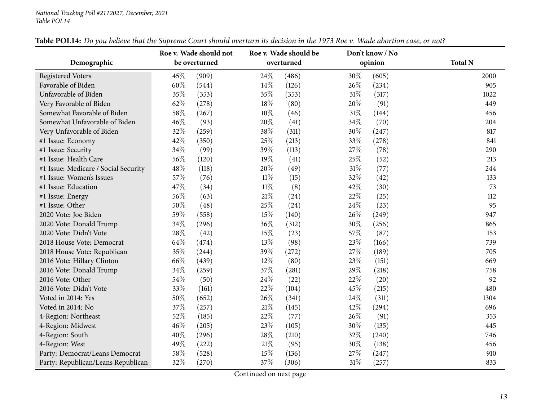|                                      | Roe v. Wade should not | Roe v. Wade should be | Don't know / No |                |
|--------------------------------------|------------------------|-----------------------|-----------------|----------------|
| Demographic                          | be overturned          | overturned            | opinion         | <b>Total N</b> |
| <b>Registered Voters</b>             | 45%<br>(909)           | 24%<br>(486)          | 30%<br>(605)    | 2000           |
| Favorable of Biden                   | 60%<br>(544)           | 14\%<br>(126)         | 26%<br>(234)    | 905            |
| Unfavorable of Biden                 | 35%<br>(353)           | 35%<br>(353)          | 31%<br>(317)    | 1022           |
| Very Favorable of Biden              | 62%<br>(278)           | 18%<br>(80)           | 20%<br>(91)     | 449            |
| Somewhat Favorable of Biden          | 58%<br>(267)           | 10%<br>(46)           | $31\%$<br>(144) | 456            |
| Somewhat Unfavorable of Biden        | 46%<br>(93)            | 20%<br>(41)           | 34%<br>(70)     | 204            |
| Very Unfavorable of Biden            | 32%<br>(259)           | 38%<br>(311)          | 30%<br>(247)    | 817            |
| #1 Issue: Economy                    | 42%<br>(350)           | 25%<br>(213)          | 33%<br>(278)    | 841            |
| #1 Issue: Security                   | 34%<br>(99)            | 39%<br>(113)          | 27%<br>(78)     | 290            |
| #1 Issue: Health Care                | 56%<br>(120)           | 19%<br>(41)           | 25%<br>(52)     | 213            |
| #1 Issue: Medicare / Social Security | 48%<br>(118)           | 20%<br>(49)           | $31\%$<br>(77)  | 244            |
| #1 Issue: Women's Issues             | 57%<br>(76)            | 11%<br>(15)           | 32%<br>(42)     | 133            |
| #1 Issue: Education                  | 47%<br>(34)            | $11\%$<br>(8)         | 42%<br>(30)     | 73             |
| #1 Issue: Energy                     | 56%<br>(63)            | 21%<br>(24)           | 22%<br>(25)     | 112            |
| #1 Issue: Other                      | 50%<br>(48)            | 25%<br>(24)           | 24%<br>(23)     | 95             |
| 2020 Vote: Joe Biden                 | 59%<br>(558)           | 15%<br>(140)          | 26%<br>(249)    | 947            |
| 2020 Vote: Donald Trump              | 34%<br>(296)           | 36%<br>(312)          | 30%<br>(256)    | 865            |
| 2020 Vote: Didn't Vote               | 28%<br>(42)            | 15%<br>(23)           | 57%<br>(87)     | 153            |
| 2018 House Vote: Democrat            | 64\%<br>(474)          | 13%<br>(98)           | 23%<br>(166)    | 739            |
| 2018 House Vote: Republican          | 35%<br>(244)           | 39%<br>(272)          | 27%<br>(189)    | 705            |
| 2016 Vote: Hillary Clinton           | 66\%<br>(439)          | 12%<br>(80)           | 23%<br>(151)    | 669            |
| 2016 Vote: Donald Trump              | 34%<br>(259)           | 37%<br>(281)          | 29%<br>(218)    | 758            |
| 2016 Vote: Other                     | 54%<br>(50)            | 24%<br>(22)           | 22%<br>(20)     | 92             |
| 2016 Vote: Didn't Vote               | 33%<br>(161)           | 22%<br>(104)          | 45%<br>(215)    | 480            |
| Voted in 2014: Yes                   | 50%<br>(652)           | 26%<br>(341)          | 24%<br>(311)    | 1304           |
| Voted in 2014: No                    | 37%<br>(257)           | $21\%$<br>(145)       | 42%<br>(294)    | 696            |
| 4-Region: Northeast                  | 52%<br>(185)           | 22%<br>(77)           | 26\%<br>(91)    | 353            |
| 4-Region: Midwest                    | 46\%<br>(205)          | 23%<br>(105)          | 30%<br>(135)    | 445            |
| 4-Region: South                      | 40%<br>(296)           | 28%<br>(210)          | 32%<br>(240)    | 746            |
| 4-Region: West                       | 49%<br>(222)           | 21%<br>(95)           | 30%<br>(138)    | 456            |
| Party: Democrat/Leans Democrat       | 58%<br>(528)           | 15%<br>(136)          | 27%<br>(247)    | 910            |
| Party: Republican/Leans Republican   | 32%<br>(270)           | 37%<br>(306)          | $31\%$<br>(257) | 833            |

## Table POL14: Do you believe that the Supreme Court should overturn its decision in the 1973 Roe v. Wade abortion case, or not?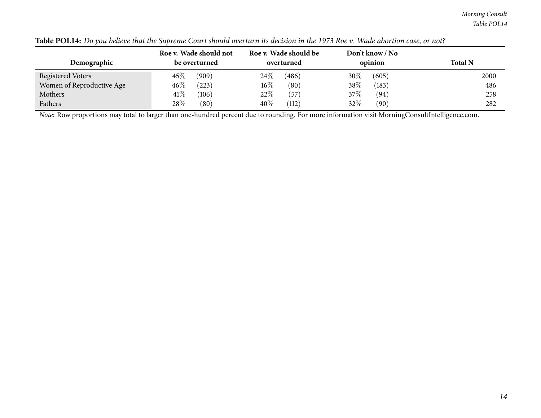*Morning Consult Table POL14*

| Demographic               | Roe v. Wade should not<br>be overturned | Roe v. Wade should be<br>overturned | Don't know / No<br>opinion | <b>Total N</b> |
|---------------------------|-----------------------------------------|-------------------------------------|----------------------------|----------------|
| <b>Registered Voters</b>  | $45\%$<br>(909)                         | 24\%<br>(486)                       | $30\%$<br>(605)            | 2000           |
| Women of Reproductive Age | $46\%$<br>(223)                         | $16\%$<br>(80)                      | 38%<br>(183)               | 486            |
| Mothers                   | 41\%<br>(106)                           | 22%<br>(57)                         | 37\%<br>(94)               | 258            |
| Fathers                   | 28\%<br>(80)                            | 40\%<br>(112)                       | 32\%<br>(90)               | 282            |

| <b>Table POL14:</b> Do you believe that the Supreme Court should overturn its decision in the 1973 Roe v. Wade abortion case, or not? |
|---------------------------------------------------------------------------------------------------------------------------------------|
|---------------------------------------------------------------------------------------------------------------------------------------|

*Note:* Row proportions may total to larger than one-hundred percen<sup>t</sup> due to rounding. For more information visit [MorningConsultIntelligence.com](https://morningconsultintelligence.com).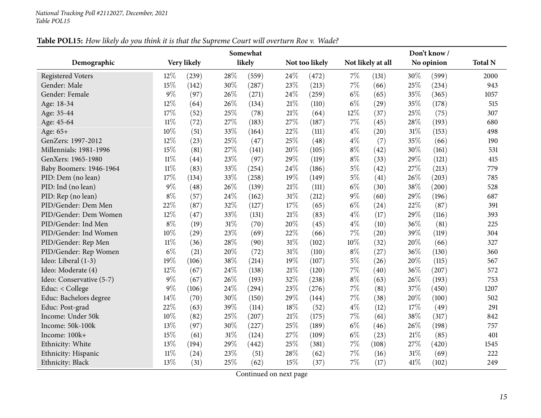<span id="page-14-0"></span>

|                          |        |             |     | Somewhat |        |                | Don't know / |                   |        |            |                |  |
|--------------------------|--------|-------------|-----|----------|--------|----------------|--------------|-------------------|--------|------------|----------------|--|
| Demographic              |        | Very likely |     | likely   |        | Not too likely |              | Not likely at all |        | No opinion | <b>Total N</b> |  |
| <b>Registered Voters</b> | 12%    | (239)       | 28% | (559)    | 24\%   | (472)          | 7%           | (131)             | 30%    | (599)      | 2000           |  |
| Gender: Male             | 15%    | (142)       | 30% | (287)    | 23%    | (213)          | 7%           | (66)              | 25%    | (234)      | 943            |  |
| Gender: Female           | $9\%$  | (97)        | 26% | (271)    | 24%    | (259)          | $6\%$        | (65)              | 35%    | (365)      | 1057           |  |
| Age: 18-34               | 12%    | (64)        | 26% | (134)    | 21%    | (110)          | $6\%$        | (29)              | 35%    | (178)      | 515            |  |
| Age: 35-44               | 17%    | (52)        | 25% | (78)     | 21%    | (64)           | 12%          | (37)              | 25%    | (75)       | 307            |  |
| Age: 45-64               | $11\%$ | (72)        | 27% | (183)    | 27%    | (187)          | 7%           | (45)              | 28%    | (193)      | 680            |  |
| Age: 65+                 | 10%    | (51)        | 33% | (164)    | 22%    | (111)          | $4\%$        | (20)              | 31%    | (153)      | 498            |  |
| GenZers: 1997-2012       | 12%    | (23)        | 25% | (47)     | 25%    | (48)           | $4\%$        | (7)               | 35%    | (66)       | 190            |  |
| Millennials: 1981-1996   | 15%    | (81)        | 27% | (141)    | 20%    | (105)          | $8\%$        | (42)              | 30%    | (161)      | 531            |  |
| GenXers: 1965-1980       | $11\%$ | (44)        | 23% | (97)     | 29%    | (119)          | $8\%$        | (33)              | 29%    | (121)      | 415            |  |
| Baby Boomers: 1946-1964  | $11\%$ | (83)        | 33% | (254)    | 24%    | (186)          | $5\%$        | (42)              | 27%    | (213)      | 779            |  |
| PID: Dem (no lean)       | 17%    | (134)       | 33% | (258)    | 19%    | (149)          | $5\%$        | (41)              | 26%    | (203)      | 785            |  |
| PID: Ind (no lean)       | $9\%$  | (48)        | 26% | (139)    | $21\%$ | (111)          | $6\%$        | (30)              | 38%    | (200)      | 528            |  |
| PID: Rep (no lean)       | $8\%$  | (57)        | 24% | (162)    | $31\%$ | (212)          | $9\%$        | (60)              | 29%    | (196)      | 687            |  |
| PID/Gender: Dem Men      | 22%    | (87)        | 32% | (127)    | 17%    | (65)           | $6\%$        | (24)              | 22%    | (87)       | 391            |  |
| PID/Gender: Dem Women    | 12%    | (47)        | 33% | (131)    | 21\%   | (83)           | $4\%$        | (17)              | 29%    | (116)      | 393            |  |
| PID/Gender: Ind Men      | $8\%$  | (19)        | 31% | (70)     | 20%    | (45)           | $4\%$        | (10)              | 36%    | (81)       | 225            |  |
| PID/Gender: Ind Women    | 10%    | (29)        | 23% | (69)     | 22%    | (66)           | $7\%$        | (20)              | 39%    | (119)      | 304            |  |
| PID/Gender: Rep Men      | $11\%$ | (36)        | 28% | (90)     | 31%    | (102)          | 10%          | (32)              | 20%    | (66)       | 327            |  |
| PID/Gender: Rep Women    | $6\%$  | (21)        | 20% | (72)     | $31\%$ | (110)          | $8\%$        | (27)              | 36%    | (130)      | 360            |  |
| Ideo: Liberal (1-3)      | 19%    | (106)       | 38% | (214)    | 19%    | (107)          | $5\%$        | (26)              | 20%    | (115)      | 567            |  |
| Ideo: Moderate (4)       | 12%    | (67)        | 24% | (138)    | 21%    | (120)          | $7\%$        | (40)              | 36%    | (207)      | 572            |  |
| Ideo: Conservative (5-7) | 9%     | (67)        | 26% | (193)    | 32%    | (238)          | $8\%$        | (63)              | 26%    | (193)      | 753            |  |
| Educ: < College          | $9\%$  | (106)       | 24% | (294)    | 23%    | (276)          | $7\%$        | (81)              | 37%    | (450)      | 1207           |  |
| Educ: Bachelors degree   | 14%    | (70)        | 30% | (150)    | 29%    | (144)          | 7%           | (38)              | 20%    | (100)      | 502            |  |
| Educ: Post-grad          | 22%    | (63)        | 39% | (114)    | 18%    | (52)           | $4\%$        | (12)              | 17%    | (49)       | 291            |  |
| Income: Under 50k        | 10%    | (82)        | 25% | (207)    | 21%    | (175)          | 7%           | (61)              | 38%    | (317)      | 842            |  |
| Income: 50k-100k         | 13%    | (97)        | 30% | (227)    | 25%    | (189)          | $6\%$        | (46)              | 26%    | (198)      | 757            |  |
| Income: 100k+            | 15%    | (61)        | 31% | (124)    | 27%    | (109)          | $6\%$        | (23)              | 21%    | (85)       | 401            |  |
| Ethnicity: White         | 13%    | (194)       | 29% | (442)    | 25%    | (381)          | $7\%$        | (108)             | 27%    | (420)      | 1545           |  |
| Ethnicity: Hispanic      | $11\%$ | (24)        | 23% | (51)     | 28%    | (62)           | $7\%$        | (16)              | $31\%$ | (69)       | 222            |  |
| Ethnicity: Black         | 13%    | (31)        | 25% | (62)     | 15%    | (37)           | $7\%$        | (17)              | 41%    | (102)      | 249            |  |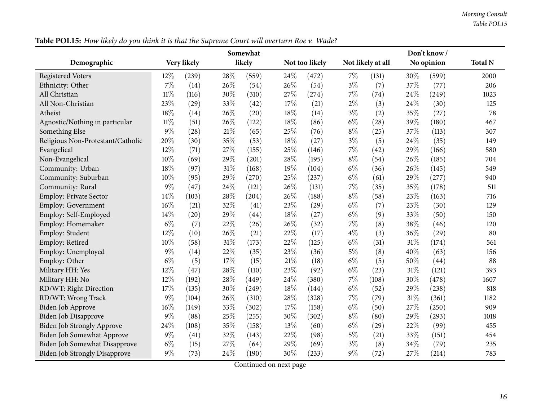|                                      |        |             |     | Somewhat |        |                |       | Don't know /      |        |            |                |  |  |
|--------------------------------------|--------|-------------|-----|----------|--------|----------------|-------|-------------------|--------|------------|----------------|--|--|
| Demographic                          |        | Very likely |     | likely   |        | Not too likely |       | Not likely at all |        | No opinion | <b>Total N</b> |  |  |
| <b>Registered Voters</b>             | 12%    | (239)       | 28% | (559)    | 24\%   | (472)          | $7\%$ | (131)             | 30%    | (599)      | 2000           |  |  |
| Ethnicity: Other                     | $7\%$  | (14)        | 26% | (54)     | 26%    | (54)           | $3\%$ | (7)               | 37%    | (77)       | 206            |  |  |
| All Christian                        | $11\%$ | (116)       | 30% | (310)    | 27%    | (274)          | $7\%$ | (74)              | 24%    | (249)      | 1023           |  |  |
| All Non-Christian                    | 23%    | (29)        | 33% | (42)     | 17%    | (21)           | $2\%$ | (3)               | 24%    | (30)       | 125            |  |  |
| Atheist                              | 18%    | (14)        | 26% | (20)     | 18%    | (14)           | $3\%$ | (2)               | 35%    | (27)       | 78             |  |  |
| Agnostic/Nothing in particular       | $11\%$ | (51)        | 26% | (122)    | $18\%$ | (86)           | $6\%$ | (28)              | 39%    | (180)      | 467            |  |  |
| Something Else                       | 9%     | (28)        | 21% | (65)     | 25%    | (76)           | $8\%$ | (25)              | 37%    | (113)      | 307            |  |  |
| Religious Non-Protestant/Catholic    | 20%    | (30)        | 35% | (53)     | 18%    | (27)           | $3\%$ | (5)               | 24%    | (35)       | 149            |  |  |
| Evangelical                          | 12%    | (71)        | 27% | (155)    | 25%    | (146)          | 7%    | (42)              | 29%    | (166)      | 580            |  |  |
| Non-Evangelical                      | 10%    | (69)        | 29% | (201)    | 28%    | (195)          | $8\%$ | (54)              | 26%    | (185)      | 704            |  |  |
| Community: Urban                     | 18%    | (97)        | 31% | (168)    | 19%    | (104)          | $6\%$ | (36)              | 26%    | (145)      | 549            |  |  |
| Community: Suburban                  | 10%    | (95)        | 29% | (270)    | 25%    | (237)          | $6\%$ | (61)              | 29%    | (277)      | 940            |  |  |
| Community: Rural                     | 9%     | (47)        | 24% | (121)    | 26%    | (131)          | 7%    | (35)              | 35%    | (178)      | 511            |  |  |
| <b>Employ: Private Sector</b>        | 14%    | (103)       | 28% | (204)    | 26%    | (188)          | $8\%$ | (58)              | 23%    | (163)      | 716            |  |  |
| <b>Employ: Government</b>            | 16%    | (21)        | 32% | (41)     | 23%    | (29)           | $6\%$ | (7)               | 23%    | (30)       | 129            |  |  |
| Employ: Self-Employed                | 14%    | (20)        | 29% | (44)     | 18%    | (27)           | $6\%$ | (9)               | 33%    | (50)       | 150            |  |  |
| Employ: Homemaker                    | $6\%$  | (7)         | 22% | (26)     | 26%    | (32)           | 7%    | (8)               | 38%    | (46)       | 120            |  |  |
| Employ: Student                      | 12%    | (10)        | 26% | (21)     | 22%    | (17)           | $4\%$ | (3)               | 36%    | (29)       | 80             |  |  |
| Employ: Retired                      | 10%    | (58)        | 31% | (173)    | 22%    | (125)          | $6\%$ | (31)              | 31%    | (174)      | 561            |  |  |
| Employ: Unemployed                   | 9%     | (14)        | 22% | (35)     | 23%    | (36)           | $5\%$ | (8)               | 40%    | (63)       | 156            |  |  |
| Employ: Other                        | $6\%$  | (5)         | 17% | (15)     | $21\%$ | (18)           | $6\%$ | (5)               | 50%    | (44)       | 88             |  |  |
| Military HH: Yes                     | 12%    | (47)        | 28% | (110)    | 23%    | (92)           | $6\%$ | (23)              | $31\%$ | (121)      | 393            |  |  |
| Military HH: No                      | 12%    | (192)       | 28% | (449)    | 24%    | (380)          | $7\%$ | (108)             | 30%    | (478)      | 1607           |  |  |
| RD/WT: Right Direction               | 17%    | (135)       | 30% | (249)    | 18%    | (144)          | $6\%$ | (52)              | 29%    | (238)      | 818            |  |  |
| RD/WT: Wrong Track                   | 9%     | (104)       | 26% | (310)    | 28%    | (328)          | $7\%$ | (79)              | 31%    | (361)      | 1182           |  |  |
| <b>Biden Job Approve</b>             | 16%    | (149)       | 33% | (302)    | 17%    | (158)          | $6\%$ | (50)              | 27%    | (250)      | 909            |  |  |
| <b>Biden Job Disapprove</b>          | 9%     | (88)        | 25% | (255)    | 30%    | (302)          | $8\%$ | (80)              | 29%    | (293)      | 1018           |  |  |
| <b>Biden Job Strongly Approve</b>    | 24%    | (108)       | 35% | (158)    | 13%    | (60)           | $6\%$ | (29)              | 22%    | (99)       | 455            |  |  |
| <b>Biden Job Somewhat Approve</b>    | 9%     | (41)        | 32% | (143)    | 22%    | (98)           | $5\%$ | (21)              | 33%    | (151)      | 454            |  |  |
| Biden Job Somewhat Disapprove        | $6\%$  | (15)        | 27% | (64)     | 29%    | (69)           | $3\%$ | (8)               | 34%    | (79)       | 235            |  |  |
| <b>Biden Job Strongly Disapprove</b> | 9%     | (73)        | 24% | (190)    | 30%    | (233)          | $9\%$ | (72)              | 27%    | (214)      | 783            |  |  |

Table POL15: How likely do you think it is that the Supreme Court will overturn Roe v. Wade?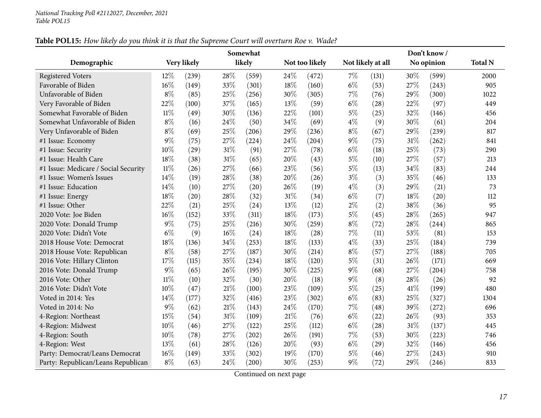| Table POL15: How likely do you think it is that the Supreme Court will overturn Roe v. Wade? |
|----------------------------------------------------------------------------------------------|
|----------------------------------------------------------------------------------------------|

|                                      |        |             |        | Somewhat |        | Don't know /   |       |                   |      |            |                |
|--------------------------------------|--------|-------------|--------|----------|--------|----------------|-------|-------------------|------|------------|----------------|
| Demographic                          |        | Very likely |        | likely   |        | Not too likely |       | Not likely at all |      | No opinion | <b>Total N</b> |
| <b>Registered Voters</b>             | 12%    | (239)       | 28%    | (559)    | 24%    | (472)          | $7\%$ | (131)             | 30%  | (599)      | 2000           |
| Favorable of Biden                   | 16%    | (149)       | 33%    | (301)    | 18%    | (160)          | $6\%$ | (53)              | 27%  | (243)      | 905            |
| Unfavorable of Biden                 | $8\%$  | (85)        | 25%    | (256)    | 30%    | (305)          | $7\%$ | (76)              | 29%  | (300)      | 1022           |
| Very Favorable of Biden              | 22%    | (100)       | 37%    | (165)    | 13%    | (59)           | $6\%$ | (28)              | 22%  | (97)       | 449            |
| Somewhat Favorable of Biden          | $11\%$ | (49)        | 30%    | (136)    | 22%    | (101)          | $5\%$ | (25)              | 32%  | (146)      | 456            |
| Somewhat Unfavorable of Biden        | $8\%$  | (16)        | 24\%   | (50)     | 34%    | (69)           | $4\%$ | (9)               | 30%  | (61)       | 204            |
| Very Unfavorable of Biden            | $8\%$  | (69)        | 25%    | (206)    | 29%    | (236)          | $8\%$ | (67)              | 29%  | (239)      | 817            |
| #1 Issue: Economy                    | $9\%$  | (75)        | 27%    | (224)    | 24%    | (204)          | $9\%$ | (75)              | 31%  | (262)      | 841            |
| #1 Issue: Security                   | 10%    | (29)        | 31%    | (91)     | 27%    | (78)           | $6\%$ | (18)              | 25%  | (73)       | 290            |
| #1 Issue: Health Care                | 18%    | (38)        | $31\%$ | (65)     | 20%    | (43)           | $5\%$ | (10)              | 27%  | (57)       | 213            |
| #1 Issue: Medicare / Social Security | $11\%$ | (26)        | 27%    | (66)     | 23%    | (56)           | $5\%$ | (13)              | 34%  | (83)       | 244            |
| #1 Issue: Women's Issues             | 14%    | (19)        | 28%    | (38)     | 20%    | (26)           | $3\%$ | (3)               | 35%  | (46)       | 133            |
| #1 Issue: Education                  | 14%    | (10)        | 27%    | (20)     | 26%    | (19)           | $4\%$ | (3)               | 29%  | (21)       | 73             |
| #1 Issue: Energy                     | 18%    | (20)        | 28%    | (32)     | $31\%$ | (34)           | $6\%$ | (7)               | 18%  | (20)       | 112            |
| #1 Issue: Other                      | 22%    | (21)        | 25%    | (24)     | 13%    | (12)           | $2\%$ | (2)               | 38%  | (36)       | 95             |
| 2020 Vote: Joe Biden                 | $16\%$ | (152)       | 33%    | (311)    | 18%    | (173)          | $5\%$ | (45)              | 28%  | (265)      | 947            |
| 2020 Vote: Donald Trump              | 9%     | (75)        | 25%    | (216)    | 30%    | (259)          | $8\%$ | (72)              | 28%  | (244)      | 865            |
| 2020 Vote: Didn't Vote               | $6\%$  | (9)         | 16%    | (24)     | 18%    | (28)           | $7\%$ | (11)              | 53%  | (81)       | 153            |
| 2018 House Vote: Democrat            | 18%    | (136)       | 34%    | (253)    | 18%    | (133)          | $4\%$ | (33)              | 25%  | (184)      | 739            |
| 2018 House Vote: Republican          | $8\%$  | (58)        | 27%    | (187)    | 30%    | (214)          | $8\%$ | (57)              | 27%  | (188)      | 705            |
| 2016 Vote: Hillary Clinton           | 17%    | (115)       | 35%    | (234)    | 18%    | (120)          | $5\%$ | (31)              | 26%  | (171)      | 669            |
| 2016 Vote: Donald Trump              | 9%     | (65)        | 26%    | (195)    | 30%    | (225)          | $9\%$ | (68)              | 27%  | (204)      | 758            |
| 2016 Vote: Other                     | $11\%$ | (10)        | 32%    | (30)     | 20%    | (18)           | $9\%$ | (8)               | 28%  | (26)       | 92             |
| 2016 Vote: Didn't Vote               | 10%    | (47)        | 21%    | (100)    | 23%    | (109)          | $5\%$ | (25)              | 41\% | (199)      | 480            |
| Voted in 2014: Yes                   | 14%    | (177)       | 32%    | (416)    | 23%    | (302)          | $6\%$ | (83)              | 25%  | (327)      | 1304           |
| Voted in 2014: No                    | $9\%$  | (62)        | $21\%$ | (143)    | 24%    | (170)          | $7\%$ | (48)              | 39%  | (272)      | 696            |
| 4-Region: Northeast                  | 15%    | (54)        | $31\%$ | (109)    | 21%    | (76)           | $6\%$ | (22)              | 26%  | (93)       | 353            |
| 4-Region: Midwest                    | 10%    | (46)        | 27%    | (122)    | 25%    | (112)          | $6\%$ | (28)              | 31%  | (137)      | 445            |
| 4-Region: South                      | 10%    | (78)        | 27%    | (202)    | 26%    | (191)          | $7\%$ | (53)              | 30%  | (223)      | 746            |
| 4-Region: West                       | 13%    | (61)        | 28%    | (126)    | 20%    | (93)           | $6\%$ | (29)              | 32%  | (146)      | 456            |
| Party: Democrat/Leans Democrat       | $16\%$ | (149)       | 33%    | (302)    | 19%    | (170)          | $5\%$ | (46)              | 27%  | (243)      | 910            |
| Party: Republican/Leans Republican   | $8\%$  | (63)        | 24%    | (200)    | 30%    | (253)          | $9\%$ | (72)              | 29%  | (246)      | 833            |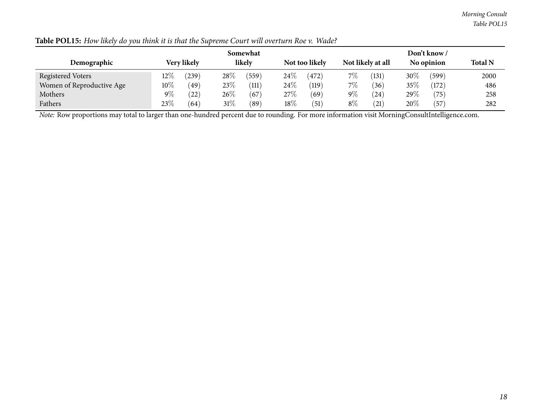|                           |        |             |        | Somewhat |        | Don't know /   |       |                   |        |             |                |  |
|---------------------------|--------|-------------|--------|----------|--------|----------------|-------|-------------------|--------|-------------|----------------|--|
| Demographic               |        | Very likely |        | likely   |        | Not too likely |       | Not likely at all |        | No opinion  | <b>Total N</b> |  |
| <b>Registered Voters</b>  | $12\%$ | (239)       | 28%    | (559)    | $24\%$ | (472)          | $7\%$ | (131)             | $30\%$ | (599)       | 2000           |  |
| Women of Reproductive Age | $10\%$ | (49)        | 23%    | (111)    | $24\%$ | (119)          | $7\%$ | (36)              | 35%    | (172)       | 486            |  |
| Mothers                   | $9\%$  | (22)        | $26\%$ | (67)     | 27\%   | (69)           | $9\%$ | (24)              | 29\%   | (75)        | 258            |  |
| Fathers                   | 23\%   | (64)        | $31\%$ | (89)     | $18\%$ | (51)           | $8\%$ | (21)              | 20\%   | $\sqrt{57}$ | 282            |  |

# Table POL15: How likely do you think it is that the Supreme Court will overturn Roe v. Wade?

*Note:* Row proportions may total to larger than one-hundred percen<sup>t</sup> due to rounding. For more information visit [MorningConsultIntelligence.com](https://morningconsultintelligence.com).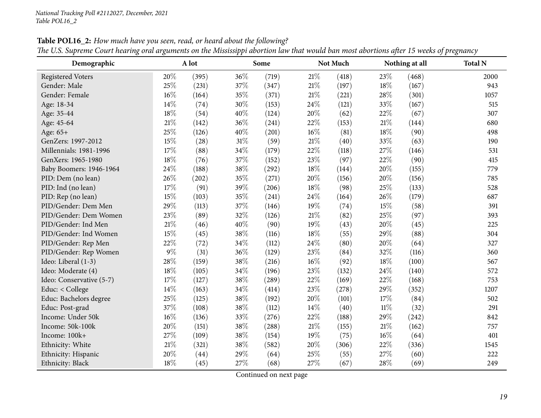<span id="page-18-0"></span>

| Demographic              |        | A lot |     | Some  |        | Not Much |        | Nothing at all | <b>Total N</b> |
|--------------------------|--------|-------|-----|-------|--------|----------|--------|----------------|----------------|
| <b>Registered Voters</b> | 20%    | (395) | 36% | (719) | 21\%   | (418)    | 23%    | (468)          | 2000           |
| Gender: Male             | 25%    | (231) | 37% | (347) | 21\%   | (197)    | 18%    | (167)          | 943            |
| Gender: Female           | $16\%$ | (164) | 35% | (371) | 21%    | (221)    | 28%    | (301)          | 1057           |
| Age: 18-34               | 14%    | (74)  | 30% | (153) | 24%    | (121)    | 33%    | (167)          | 515            |
| Age: 35-44               | $18\%$ | (54)  | 40% | (124) | 20%    | (62)     | 22%    | (67)           | 307            |
| Age: 45-64               | 21%    | (142) | 36% | (241) | 22%    | (153)    | $21\%$ | (144)          | 680            |
| Age: 65+                 | 25%    | (126) | 40% | (201) | 16%    | (81)     | 18%    | (90)           | 498            |
| GenZers: 1997-2012       | 15%    | (28)  | 31% | (59)  | $21\%$ | (40)     | 33%    | (63)           | 190            |
| Millennials: 1981-1996   | $17\%$ | (88)  | 34% | (179) | 22%    | (118)    | 27%    | (146)          | 531            |
| GenXers: 1965-1980       | 18%    | (76)  | 37% | (152) | 23%    | (97)     | 22%    | (90)           | 415            |
| Baby Boomers: 1946-1964  | 24%    | (188) | 38% | (292) | 18%    | (144)    | 20%    | (155)          | 779            |
| PID: Dem (no lean)       | 26%    | (202) | 35% | (271) | 20%    | (156)    | 20%    | (156)          | 785            |
| PID: Ind (no lean)       | 17%    | (91)  | 39% | (206) | 18%    | (98)     | 25%    | (133)          | 528            |
| PID: Rep (no lean)       | 15%    | (103) | 35% | (241) | 24%    | (164)    | 26%    | (179)          | 687            |
| PID/Gender: Dem Men      | 29%    | (113) | 37% | (146) | 19%    | (74)     | 15%    | (58)           | 391            |
| PID/Gender: Dem Women    | 23%    | (89)  | 32% | (126) | 21%    | (82)     | 25%    | (97)           | 393            |
| PID/Gender: Ind Men      | 21%    | (46)  | 40% | (90)  | 19%    | (43)     | 20%    | (45)           | 225            |
| PID/Gender: Ind Women    | 15%    | (45)  | 38% | (116) | 18%    | (55)     | 29%    | (88)           | 304            |
| PID/Gender: Rep Men      | 22%    | (72)  | 34% | (112) | 24%    | (80)     | 20%    | (64)           | 327            |
| PID/Gender: Rep Women    | $9\%$  | (31)  | 36% | (129) | 23%    | (84)     | 32%    | (116)          | 360            |
| Ideo: Liberal (1-3)      | 28%    | (159) | 38% | (216) | 16%    | (92)     | 18%    | (100)          | 567            |
| Ideo: Moderate (4)       | 18%    | (105) | 34% | (196) | 23%    | (132)    | 24%    | (140)          | 572            |
| Ideo: Conservative (5-7) | 17%    | (127) | 38% | (289) | 22%    | (169)    | 22%    | (168)          | 753            |
| Educ: < College          | 14%    | (163) | 34% | (414) | 23%    | (278)    | 29%    | (352)          | 1207           |
| Educ: Bachelors degree   | $25\%$ | (125) | 38% | (192) | 20%    | (101)    | 17%    | (84)           | 502            |
| Educ: Post-grad          | 37%    | (108) | 38% | (112) | 14%    | (40)     | $11\%$ | (32)           | 291            |
| Income: Under 50k        | $16\%$ | (136) | 33% | (276) | 22%    | (188)    | 29%    | (242)          | 842            |
| Income: 50k-100k         | 20%    | (151) | 38% | (288) | 21%    | (155)    | $21\%$ | (162)          | 757            |
| Income: 100k+            | 27%    | (109) | 38% | (154) | 19%    | (75)     | 16%    | (64)           | 401            |
| Ethnicity: White         | $21\%$ | (321) | 38% | (582) | 20%    | (306)    | 22%    | (336)          | 1545           |
| Ethnicity: Hispanic      | 20%    | (44)  | 29% | (64)  | 25%    | (55)     | 27%    | (60)           | 222            |
| Ethnicity: Black         | 18%    | (45)  | 27% | (68)  | 27%    | (67)     | 28%    | (69)           | 249            |

Table POL16\_2: How much have you seen, read, or heard about the following? The U.S. Supreme Court hearing oral arguments on the Mississippi abortion law that would ban most abortions after 15 weeks of pregnancy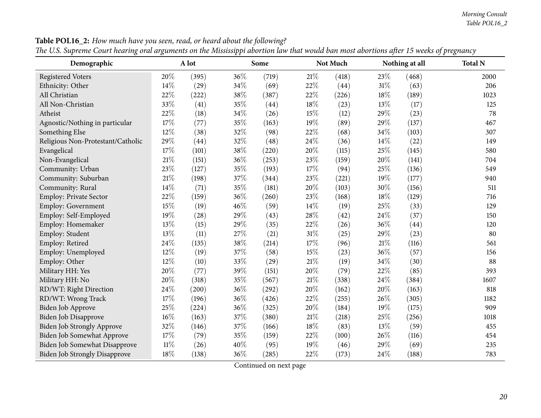#### *Morning Consult Table POL16\_2*

| $\circ$<br>Demographic               | o      | A lot | ΙI     | Some  |     | Not Much |        | Nothing at all | $\circ$<br><b>Total N</b> |
|--------------------------------------|--------|-------|--------|-------|-----|----------|--------|----------------|---------------------------|
| <b>Registered Voters</b>             | 20%    | (395) | 36%    | (719) | 21% | (418)    | 23%    | (468)          | 2000                      |
| Ethnicity: Other                     | 14%    | (29)  | 34%    | (69)  | 22% | (44)     | $31\%$ | (63)           | 206                       |
| All Christian                        | 22%    | (222) | 38%    | (387) | 22% | (226)    | 18%    | (189)          | 1023                      |
| All Non-Christian                    | 33%    | (41)  | 35%    | (44)  | 18% | (23)     | 13%    | (17)           | 125                       |
| Atheist                              | 22%    | (18)  | $34\%$ | (26)  | 15% | (12)     | 29%    | (23)           | 78                        |
| Agnostic/Nothing in particular       | 17%    | (77)  | 35%    | (163) | 19% | (89)     | 29%    | (137)          | 467                       |
| Something Else                       | 12%    | (38)  | 32%    | (98)  | 22% | (68)     | 34%    | (103)          | 307                       |
| Religious Non-Protestant/Catholic    | 29%    | (44)  | 32%    | (48)  | 24% | (36)     | 14%    | (22)           | 149                       |
| Evangelical                          | 17\%   | (101) | 38%    | (220) | 20% | (115)    | 25%    | (145)          | 580                       |
| Non-Evangelical                      | 21%    | (151) | 36%    | (253) | 23% | (159)    | 20%    | (141)          | 704                       |
| Community: Urban                     | 23%    | (127) | 35%    | (193) | 17% | (94)     | 25%    | (136)          | 549                       |
| Community: Suburban                  | $21\%$ | (198) | 37%    | (344) | 23% | (221)    | 19%    | (177)          | 940                       |
| Community: Rural                     | 14%    | (71)  | 35%    | (181) | 20% | (103)    | 30%    | (156)          | 511                       |
| <b>Employ: Private Sector</b>        | $22\%$ | (159) | 36%    | (260) | 23% | (168)    | 18%    | (129)          | 716                       |
| Employ: Government                   | 15%    | (19)  | 46%    | (59)  | 14% | (19)     | 25%    | (33)           | 129                       |
| Employ: Self-Employed                | 19%    | (28)  | 29%    | (43)  | 28% | (42)     | 24\%   | (37)           | 150                       |
| Employ: Homemaker                    | 13%    | (15)  | 29%    | (35)  | 22% | (26)     | 36%    | (44)           | 120                       |
| Employ: Student                      | 13%    | (11)  | 27%    | (21)  | 31% | (25)     | 29%    | (23)           | 80                        |
| Employ: Retired                      | 24%    | (135) | 38%    | (214) | 17% | (96)     | 21%    | (116)          | 561                       |
| Employ: Unemployed                   | 12%    | (19)  | 37%    | (58)  | 15% | (23)     | 36%    | (57)           | 156                       |
| Employ: Other                        | 12%    | (10)  | 33%    | (29)  | 21% | (19)     | 34%    | (30)           | 88                        |
| Military HH: Yes                     | 20%    | (77)  | 39%    | (151) | 20% | (79)     | 22%    | (85)           | 393                       |
| Military HH: No                      | $20\%$ | (318) | 35%    | (567) | 21% | (338)    | 24%    | (384)          | 1607                      |
| RD/WT: Right Direction               | 24%    | (200) | 36%    | (292) | 20% | (162)    | 20%    | (163)          | 818                       |
| RD/WT: Wrong Track                   | 17%    | (196) | 36%    | (426) | 22% | (255)    | 26%    | (305)          | 1182                      |
| Biden Job Approve                    | 25%    | (224) | 36%    | (325) | 20% | (184)    | 19%    | (175)          | 909                       |
| <b>Biden Job Disapprove</b>          | 16%    | (163) | 37%    | (380) | 21% | (218)    | 25%    | (256)          | 1018                      |
| Biden Job Strongly Approve           | 32%    | (146) | 37%    | (166) | 18% | (83)     | 13%    | (59)           | 455                       |
| <b>Biden Job Somewhat Approve</b>    | 17%    | (79)  | 35%    | (159) | 22% | (100)    | 26%    | (116)          | 454                       |
| Biden Job Somewhat Disapprove        | $11\%$ | (26)  | 40%    | (95)  | 19% | (46)     | 29%    | (69)           | 235                       |
| <b>Biden Job Strongly Disapprove</b> | 18%    | (138) | 36%    | (285) | 22% | (173)    | 24%    | (188)          | 783                       |

Table POL16\_2: How much have you seen, read, or heard about the following?

The U.S. Supreme Court hearing oral arguments on the Mississippi abortion law that would ban most abortions after 15 weeks of pregnancy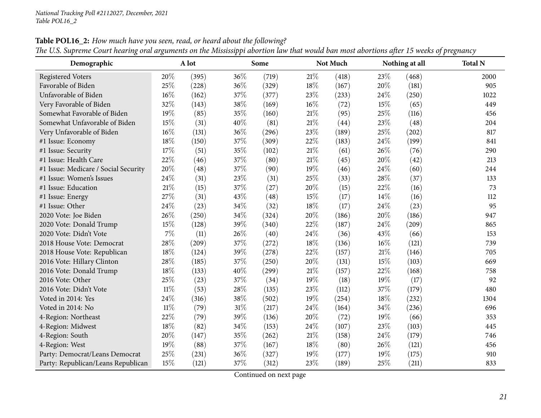| Demographic                          |        | A lot |     | Some  |        | Not Much |      | Nothing at all | <b>Total N</b> |
|--------------------------------------|--------|-------|-----|-------|--------|----------|------|----------------|----------------|
| <b>Registered Voters</b>             | 20%    | (395) | 36% | (719) | 21\%   | (418)    | 23%  | (468)          | 2000           |
| Favorable of Biden                   | 25%    | (228) | 36% | (329) | 18%    | (167)    | 20%  | (181)          | 905            |
| Unfavorable of Biden                 | $16\%$ | (162) | 37% | (377) | 23%    | (233)    | 24\% | (250)          | 1022           |
| Very Favorable of Biden              | 32%    | (143) | 38% | (169) | $16\%$ | (72)     | 15%  | (65)           | 449            |
| Somewhat Favorable of Biden          | 19%    | (85)  | 35% | (160) | 21\%   | (95)     | 25%  | (116)          | 456            |
| Somewhat Unfavorable of Biden        | 15%    | (31)  | 40% | (81)  | 21%    | (44)     | 23%  | (48)           | 204            |
| Very Unfavorable of Biden            | 16%    | (131) | 36% | (296) | 23%    | (189)    | 25%  | (202)          | 817            |
| #1 Issue: Economy                    | 18%    | (150) | 37% | (309) | 22%    | (183)    | 24\% | (199)          | 841            |
| #1 Issue: Security                   | 17%    | (51)  | 35% | (102) | 21%    | (61)     | 26%  | (76)           | 290            |
| #1 Issue: Health Care                | 22%    | (46)  | 37% | (80)  | 21%    | (45)     | 20%  | (42)           | 213            |
| #1 Issue: Medicare / Social Security | 20%    | (48)  | 37% | (90)  | 19%    | (46)     | 24%  | (60)           | 244            |
| #1 Issue: Women's Issues             | 24\%   | (31)  | 23% | (31)  | 25%    | (33)     | 28%  | (37)           | 133            |
| #1 Issue: Education                  | $21\%$ | (15)  | 37% | (27)  | 20%    | (15)     | 22%  | (16)           | 73             |
| #1 Issue: Energy                     | 27%    | (31)  | 43% | (48)  | 15%    | (17)     | 14%  | (16)           | 112            |
| #1 Issue: Other                      | 24%    | (23)  | 34% | (32)  | 18%    | (17)     | 24%  | (23)           | 95             |
| 2020 Vote: Joe Biden                 | 26%    | (250) | 34% | (324) | 20%    | (186)    | 20%  | (186)          | 947            |
| 2020 Vote: Donald Trump              | $15\%$ | (128) | 39% | (340) | 22%    | (187)    | 24%  | (209)          | 865            |
| 2020 Vote: Didn't Vote               | 7%     | (11)  | 26% | (40)  | 24%    | (36)     | 43%  | (66)           | 153            |
| 2018 House Vote: Democrat            | 28%    | (209) | 37% | (272) | 18%    | (136)    | 16%  | (121)          | 739            |
| 2018 House Vote: Republican          | 18%    | (124) | 39% | (278) | 22%    | (157)    | 21%  | (146)          | 705            |
| 2016 Vote: Hillary Clinton           | 28%    | (185) | 37% | (250) | 20%    | (131)    | 15%  | (103)          | 669            |
| 2016 Vote: Donald Trump              | 18%    | (133) | 40% | (299) | 21%    | (157)    | 22%  | (168)          | 758            |
| 2016 Vote: Other                     | 25%    | (23)  | 37% | (34)  | 19%    | (18)     | 19%  | (17)           | 92             |
| 2016 Vote: Didn't Vote               | $11\%$ | (53)  | 28% | (135) | 23%    | (112)    | 37%  | (179)          | 480            |
| Voted in 2014: Yes                   | 24%    | (316) | 38% | (502) | 19%    | (254)    | 18%  | (232)          | 1304           |
| Voted in 2014: No                    | $11\%$ | (79)  | 31% | (217) | 24%    | (164)    | 34%  | (236)          | 696            |
| 4-Region: Northeast                  | 22%    | (79)  | 39% | (136) | 20%    | (72)     | 19%  | (66)           | 353            |
| 4-Region: Midwest                    | 18%    | (82)  | 34% | (153) | 24%    | (107)    | 23%  | (103)          | 445            |
| 4-Region: South                      | 20%    | (147) | 35% | (262) | 21\%   | (158)    | 24%  | (179)          | 746            |
| 4-Region: West                       | 19%    | (88)  | 37% | (167) | 18%    | (80)     | 26%  | (121)          | 456            |
| Party: Democrat/Leans Democrat       | 25%    | (231) | 36% | (327) | 19%    | (177)    | 19%  | (175)          | 910            |
| Party: Republican/Leans Republican   | 15%    | (121) | 37% | (312) | 23%    | (189)    | 25%  | (211)          | 833            |

Table POL16\_2: How much have you seen, read, or heard about the following? The U.S. Supreme Court hearing oral arguments on the Mississippi abortion law that would ban most abortions after 15 weeks of pregnancy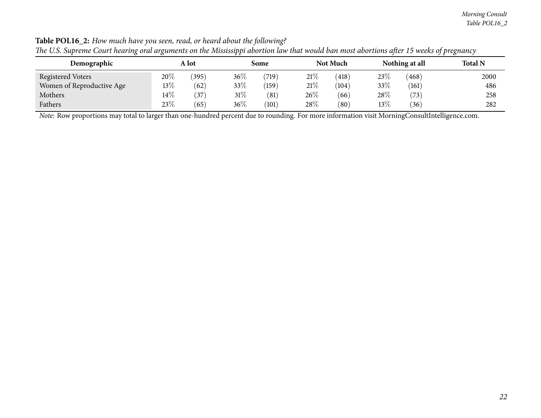#### *Morning Consult Table POL16\_2*

|                           | <i></i> |       |        |       |        |                 |      |                |                |
|---------------------------|---------|-------|--------|-------|--------|-----------------|------|----------------|----------------|
| Demographic               |         | A lot |        | Some  |        | <b>Not Much</b> |      | Nothing at all | <b>Total N</b> |
| Registered Voters         | 20%     | (395) | $36\%$ | (719) | 21%    | (418)           | 23\% | (468)          | 2000           |
| Women of Reproductive Age | 13%     | (62)  | 33\%   | (159) | $21\%$ | (104)           | 33%  | (161)          | 486            |
| Mothers                   | $14\%$  | 37    | $31\%$ | (81)  | 26\%   | (66)            | 28\% | (73,           | 258            |
| Fathers                   | 23%     | (65)  | 36%    | (101) | 28\%   | (80)            | 13%  | '36'           | 282            |

Table POL16\_2: How much have you seen, read, or heard about the following? The U.S. Supreme Court hearing oral arguments on the Mississippi abortion law that would ban most abortions after 15 weeks of pregnancy

*Note:* Row proportions may total to larger than one-hundred percen<sup>t</sup> due to rounding. For more information visit [MorningConsultIntelligence.com](https://morningconsultintelligence.com).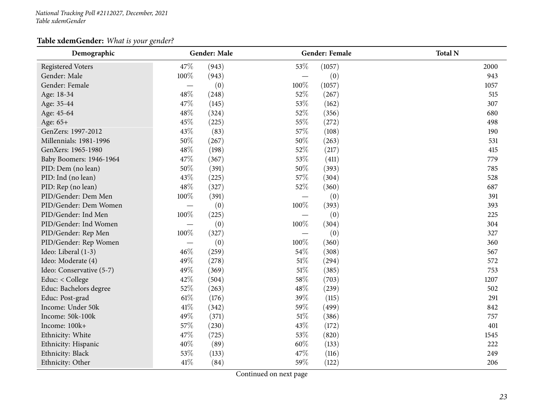#### *National Tracking Poll #2112027, December, <sup>2021</sup> Table xdemGender*

## **Table xdemGender:** *What is your gender?*

<span id="page-22-0"></span>

| Demographic              |                          | <b>Gender: Male</b> |      | Gender: Female | <b>Total N</b> |
|--------------------------|--------------------------|---------------------|------|----------------|----------------|
| <b>Registered Voters</b> | 47%                      | (943)               | 53%  | (1057)         | 2000           |
| Gender: Male             | 100%                     | (943)               |      | (0)            | 943            |
| Gender: Female           |                          | (0)                 | 100% | (1057)         | 1057           |
| Age: 18-34               | 48%                      | (248)               | 52%  | (267)          | 515            |
| Age: 35-44               | 47%                      | (145)               | 53%  | (162)          | 307            |
| Age: 45-64               | 48%                      | (324)               | 52%  | (356)          | 680            |
| Age: 65+                 | 45%                      | (225)               | 55%  | (272)          | 498            |
| GenZers: 1997-2012       | 43%                      | (83)                | 57%  | (108)          | 190            |
| Millennials: 1981-1996   | $50\%$                   | (267)               | 50%  | (263)          | 531            |
| GenXers: 1965-1980       | 48%                      | (198)               | 52%  | (217)          | 415            |
| Baby Boomers: 1946-1964  | 47%                      | (367)               | 53%  | (411)          | 779            |
| PID: Dem (no lean)       | 50%                      | (391)               | 50%  | (393)          | 785            |
| PID: Ind (no lean)       | 43%                      | (225)               | 57%  | (304)          | 528            |
| PID: Rep (no lean)       | 48%                      | (327)               | 52%  | (360)          | 687            |
| PID/Gender: Dem Men      | 100%                     | (391)               |      | (0)            | 391            |
| PID/Gender: Dem Women    |                          | (0)                 | 100% | (393)          | 393            |
| PID/Gender: Ind Men      | 100%                     | (225)               |      | (0)            | 225            |
| PID/Gender: Ind Women    |                          | (0)                 | 100% | (304)          | 304            |
| PID/Gender: Rep Men      | 100%                     | (327)               |      | (0)            | 327            |
| PID/Gender: Rep Women    | $\overline{\phantom{m}}$ | (0)                 | 100% | (360)          | 360            |
| Ideo: Liberal (1-3)      | 46%                      | (259)               | 54%  | (308)          | 567            |
| Ideo: Moderate (4)       | 49%                      | (278)               | 51%  | (294)          | 572            |
| Ideo: Conservative (5-7) | 49%                      | (369)               | 51%  | (385)          | 753            |
| Educ: < College          | 42%                      | (504)               | 58%  | (703)          | 1207           |
| Educ: Bachelors degree   | 52%                      | (263)               | 48%  | (239)          | 502            |
| Educ: Post-grad          | $61\%$                   | (176)               | 39%  | (115)          | 291            |
| Income: Under 50k        | 41\%                     | (342)               | 59%  | (499)          | 842            |
| Income: 50k-100k         | 49%                      | (371)               | 51%  | (386)          | 757            |
| Income: 100k+            | 57%                      | (230)               | 43%  | (172)          | 401            |
| Ethnicity: White         | 47%                      | (725)               | 53%  | (820)          | 1545           |
| Ethnicity: Hispanic      | 40%                      | (89)                | 60%  | (133)          | 222            |
| Ethnicity: Black         | 53%                      | (133)               | 47%  | (116)          | 249            |
| Ethnicity: Other         | $41\%$                   | (84)                | 59%  | (122)          | 206            |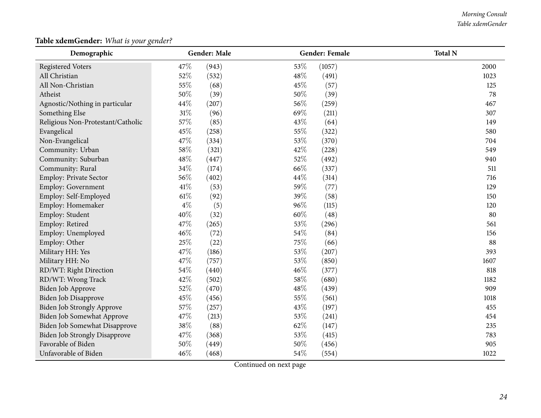#### *Morning Consult Table xdemGender*

## **Table xdemGender:** *What is your gender?*

| Demographic                          |       | Gender: Male |        | <b>Gender: Female</b> | <b>Total N</b> |
|--------------------------------------|-------|--------------|--------|-----------------------|----------------|
| <b>Registered Voters</b>             | 47%   | (943)        | 53%    | (1057)                | 2000           |
| All Christian                        | 52%   | (532)        | 48%    | (491)                 | 1023           |
| All Non-Christian                    | 55%   | (68)         | 45%    | (57)                  | 125            |
| Atheist                              | 50%   | (39)         | 50%    | (39)                  | 78             |
| Agnostic/Nothing in particular       | 44%   | (207)        | 56%    | (259)                 | 467            |
| Something Else                       | 31%   | (96)         | 69%    | (211)                 | 307            |
| Religious Non-Protestant/Catholic    | 57%   | (85)         | 43%    | (64)                  | 149            |
| Evangelical                          | 45%   | (258)        | 55%    | (322)                 | 580            |
| Non-Evangelical                      | 47%   | (334)        | $53\%$ | (370)                 | 704            |
| Community: Urban                     | 58%   | (321)        | 42%    | (228)                 | 549            |
| Community: Suburban                  | 48%   | (447)        | 52%    | (492)                 | 940            |
| Community: Rural                     | 34%   | (174)        | 66%    | (337)                 | 511            |
| Employ: Private Sector               | 56%   | (402)        | 44\%   | (314)                 | 716            |
| <b>Employ: Government</b>            | 41\%  | (53)         | 59%    | (77)                  | 129            |
| Employ: Self-Employed                | 61\%  | (92)         | 39%    | (58)                  | 150            |
| Employ: Homemaker                    | $4\%$ | (5)          | 96%    | (115)                 | 120            |
| Employ: Student                      | 40%   | (32)         | $60\%$ | (48)                  | 80             |
| Employ: Retired                      | 47%   | (265)        | 53%    | (296)                 | 561            |
| Employ: Unemployed                   | 46%   | (72)         | 54%    | (84)                  | 156            |
| Employ: Other                        | 25%   | (22)         | 75%    | (66)                  | 88             |
| Military HH: Yes                     | 47%   | (186)        | 53%    | (207)                 | 393            |
| Military HH: No                      | 47%   | (757)        | 53%    | (850)                 | 1607           |
| RD/WT: Right Direction               | 54%   | (440)        | 46%    | (377)                 | 818            |
| RD/WT: Wrong Track                   | 42%   | (502)        | 58\%   | (680)                 | 1182           |
| Biden Job Approve                    | 52%   | (470)        | 48\%   | (439)                 | 909            |
| Biden Job Disapprove                 | 45%   | (456)        | 55%    | (561)                 | 1018           |
| Biden Job Strongly Approve           | 57%   | (257)        | 43%    | (197)                 | 455            |
| Biden Job Somewhat Approve           | 47%   | (213)        | 53%    | (241)                 | 454            |
| Biden Job Somewhat Disapprove        | 38%   | (88)         | 62%    | (147)                 | 235            |
| <b>Biden Job Strongly Disapprove</b> | 47%   | (368)        | 53%    | (415)                 | 783            |
| Favorable of Biden                   | 50%   | (449)        | 50%    | (456)                 | 905            |
| Unfavorable of Biden                 | 46%   | (468)        | 54%    | (554)                 | 1022           |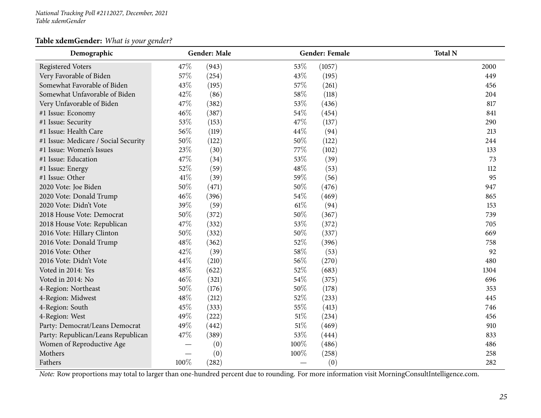#### **Table xdemGender:** *What is your gender?*

| Demographic                          |      | Gender: Male |        | Gender: Female | <b>Total N</b>                                                                                                                                 |
|--------------------------------------|------|--------------|--------|----------------|------------------------------------------------------------------------------------------------------------------------------------------------|
| <b>Registered Voters</b>             | 47%  | (943)        | 53%    | (1057)         | 2000                                                                                                                                           |
| Very Favorable of Biden              | 57%  | (254)        | 43%    | (195)          | 449                                                                                                                                            |
| Somewhat Favorable of Biden          | 43%  | (195)        | 57%    | (261)          | 456                                                                                                                                            |
| Somewhat Unfavorable of Biden        | 42%  | (86)         | 58%    | (118)          | 204                                                                                                                                            |
| Very Unfavorable of Biden            | 47%  | (382)        | 53%    | (436)          | 817                                                                                                                                            |
| #1 Issue: Economy                    | 46%  | (387)        | 54\%   | (454)          | 841                                                                                                                                            |
| #1 Issue: Security                   | 53%  | (153)        | 47%    | (137)          | 290                                                                                                                                            |
| #1 Issue: Health Care                | 56%  | (119)        | 44%    | (94)           | 213                                                                                                                                            |
| #1 Issue: Medicare / Social Security | 50%  | (122)        | $50\%$ | (122)          | 244                                                                                                                                            |
| #1 Issue: Women's Issues             | 23%  | (30)         | 77%    | (102)          | 133                                                                                                                                            |
| #1 Issue: Education                  | 47%  | (34)         | 53%    | (39)           | 73                                                                                                                                             |
| #1 Issue: Energy                     | 52%  | (59)         | 48%    | (53)           | 112                                                                                                                                            |
| #1 Issue: Other                      | 41\% | (39)         | 59%    | (56)           | 95                                                                                                                                             |
| 2020 Vote: Joe Biden                 | 50%  | (471)        | 50%    | (476)          | 947                                                                                                                                            |
| 2020 Vote: Donald Trump              | 46%  | (396)        | 54\%   | (469)          | 865                                                                                                                                            |
| 2020 Vote: Didn't Vote               | 39%  | (59)         | 61\%   | (94)           | 153                                                                                                                                            |
| 2018 House Vote: Democrat            | 50%  | (372)        | 50%    | (367)          | 739                                                                                                                                            |
| 2018 House Vote: Republican          | 47%  | (332)        | 53%    | (372)          | 705                                                                                                                                            |
| 2016 Vote: Hillary Clinton           | 50%  | (332)        | 50%    | (337)          | 669                                                                                                                                            |
| 2016 Vote: Donald Trump              | 48%  | (362)        | 52%    | (396)          | 758                                                                                                                                            |
| 2016 Vote: Other                     | 42%  | (39)         | 58%    | (53)           | 92                                                                                                                                             |
| 2016 Vote: Didn't Vote               | 44%  | (210)        | 56%    | (270)          | 480                                                                                                                                            |
| Voted in 2014: Yes                   | 48%  | (622)        | $52\%$ | (683)          | 1304                                                                                                                                           |
| Voted in 2014: No                    | 46%  | (321)        | 54\%   | (375)          | 696                                                                                                                                            |
| 4-Region: Northeast                  | 50%  | (176)        | 50%    | (178)          | 353                                                                                                                                            |
| 4-Region: Midwest                    | 48%  | (212)        | 52%    | (233)          | 445                                                                                                                                            |
| 4-Region: South                      | 45%  | (333)        | 55%    | (413)          | 746                                                                                                                                            |
| 4-Region: West                       | 49%  | (222)        | $51\%$ | (234)          | 456                                                                                                                                            |
| Party: Democrat/Leans Democrat       | 49%  | (442)        | $51\%$ | (469)          | 910                                                                                                                                            |
| Party: Republican/Leans Republican   | 47%  | (389)        | 53%    | (444)          | 833                                                                                                                                            |
| Women of Reproductive Age            |      | (0)          | 100%   | (486)          | 486                                                                                                                                            |
| Mothers                              |      | (0)          | 100%   | (258)          | 258                                                                                                                                            |
| Fathers                              | 100% | (282)        |        | (0)            | 282                                                                                                                                            |
|                                      |      |              |        |                | Note: Row proportions may total to larger than one-hundred percent due to rounding. For more information visit MorningConsultIntelligence.com. |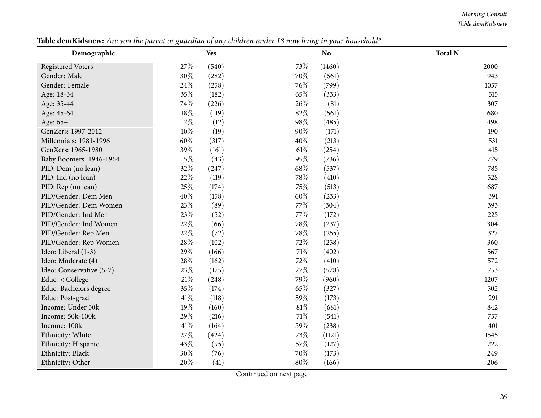#### *Morning Consult Table demKidsnew*

<span id="page-25-0"></span>

| Demographic              |       | Yes   |        | N <sub>o</sub> | <b>Total N</b> |
|--------------------------|-------|-------|--------|----------------|----------------|
| <b>Registered Voters</b> | 27%   | (540) | 73%    | (1460)         | 2000           |
| Gender: Male             | 30%   | (282) | 70%    | (661)          | 943            |
| Gender: Female           | 24%   | (258) | 76%    | (799)          | 1057           |
| Age: 18-34               | 35%   | (182) | 65%    | (333)          | 515            |
| Age: 35-44               | 74%   | (226) | 26\%   | (81)           | 307            |
| Age: 45-64               | 18%   | (119) | 82%    | (561)          | 680            |
| Age: 65+                 | $2\%$ | (12)  | 98%    | (485)          | 498            |
| GenZers: 1997-2012       | 10%   | (19)  | 90%    | (171)          | 190            |
| Millennials: 1981-1996   | 60%   | (317) | 40%    | (213)          | 531            |
| GenXers: 1965-1980       | 39%   | (161) | $61\%$ | (254)          | 415            |
| Baby Boomers: 1946-1964  | $5\%$ | (43)  | 95%    | (736)          | 779            |
| PID: Dem (no lean)       | 32%   | (247) | 68\%   | (537)          | 785            |
| PID: Ind (no lean)       | 22%   | (119) | 78%    | (410)          | 528            |
| PID: Rep (no lean)       | 25%   | (174) | 75%    | (513)          | 687            |
| PID/Gender: Dem Men      | 40%   | (158) | $60\%$ | (233)          | 391            |
| PID/Gender: Dem Women    | 23%   | (89)  | 77%    | (304)          | 393            |
| PID/Gender: Ind Men      | 23%   | (52)  | 77%    | (172)          | 225            |
| PID/Gender: Ind Women    | 22%   | (66)  | 78%    | (237)          | 304            |
| PID/Gender: Rep Men      | 22%   | (72)  | 78%    | (255)          | 327            |
| PID/Gender: Rep Women    | 28%   | (102) | 72%    | (258)          | 360            |
| Ideo: Liberal (1-3)      | 29%   | (166) | 71%    | (402)          | 567            |
| Ideo: Moderate (4)       | 28%   | (162) | 72%    | (410)          | 572            |
| Ideo: Conservative (5-7) | 23%   | (175) | 77%    | (578)          | 753            |
| Educ: < College          | 21\%  | (248) | 79%    | (960)          | 1207           |
| Educ: Bachelors degree   | 35%   | (174) | 65%    | (327)          | 502            |
| Educ: Post-grad          | 41\%  | (118) | 59%    | (173)          | 291            |
| Income: Under 50k        | 19%   | (160) | $81\%$ | (681)          | 842            |
| Income: 50k-100k         | 29%   | (216) | $71\%$ | (541)          | 757            |
| Income: 100k+            | 41\%  | (164) | $59\%$ | (238)          | 401            |
| Ethnicity: White         | 27%   | (424) | 73%    | (1121)         | 1545           |
| Ethnicity: Hispanic      | 43%   | (95)  | 57\%   | (127)          | 222            |
| Ethnicity: Black         | 30%   | (76)  | 70%    | (173)          | 249            |
| Ethnicity: Other         | 20%   | (41)  | $80\%$ | (166)          | 206            |

Table demKidsnew: Are you the parent or guardian of any children under 18 now living in your household?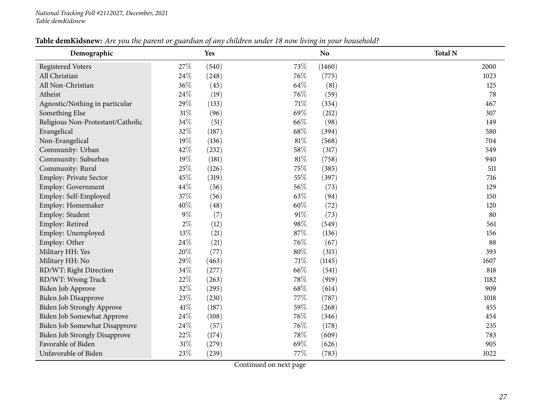| Table demKidsnew: Are you the parent or guardian of any children under 18 now living in your household? |  |
|---------------------------------------------------------------------------------------------------------|--|
|---------------------------------------------------------------------------------------------------------|--|

| Demographic                          |        | Yes   |        | N <sub>o</sub> | <b>Total N</b> |
|--------------------------------------|--------|-------|--------|----------------|----------------|
| <b>Registered Voters</b>             | 27\%   | (540) | 73%    | (1460)         | 2000           |
| All Christian                        | 24\%   | (248) | 76%    | (775)          | 1023           |
| All Non-Christian                    | 36%    | (45)  | 64%    | (81)           | 125            |
| Atheist                              | 24%    | (19)  | 76%    | (59)           | 78             |
| Agnostic/Nothing in particular       | 29%    | (133) | $71\%$ | (334)          | 467            |
| Something Else                       | $31\%$ | (96)  | 69%    | (212)          | 307            |
| Religious Non-Protestant/Catholic    | $34\%$ | (51)  | 66%    | (98)           | 149            |
| Evangelical                          | 32%    | (187) | 68\%   | (394)          | 580            |
| Non-Evangelical                      | 19%    | (136) | $81\%$ | (568)          | 704            |
| Community: Urban                     | 42%    | (232) | 58%    | (317)          | 549            |
| Community: Suburban                  | 19%    | (181) | $81\%$ | (758)          | 940            |
| Community: Rural                     | 25%    | (126) | 75%    | (385)          | 511            |
| Employ: Private Sector               | 45%    | (319) | 55%    | (397)          | 716            |
| Employ: Government                   | 44\%   | (56)  | 56%    | (73)           | 129            |
| Employ: Self-Employed                | 37%    | (56)  | 63%    | (94)           | 150            |
| Employ: Homemaker                    | 40%    | (48)  | $60\%$ | (72)           | 120            |
| Employ: Student                      | $9\%$  | (7)   | 91%    | (73)           | 80             |
| Employ: Retired                      | $2\%$  | (12)  | 98%    | (549)          | 561            |
| Employ: Unemployed                   | $13\%$ | (21)  | 87%    | (136)          | 156            |
| Employ: Other                        | 24\%   | (21)  | 76%    | (67)           | 88             |
| Military HH: Yes                     | 20%    | (77)  | $80\%$ | (315)          | 393            |
| Military HH: No                      | 29%    | (463) | $71\%$ | (1145)         | 1607           |
| RD/WT: Right Direction               | 34%    | (277) | 66%    | (541)          | 818            |
| RD/WT: Wrong Track                   | 22%    | (263) | 78%    | (919)          | 1182           |
| Biden Job Approve                    | 32%    | (295) | 68%    | (614)          | 909            |
| Biden Job Disapprove                 | 23%    | (230) | 77%    | (787)          | 1018           |
| Biden Job Strongly Approve           | $41\%$ | (187) | 59%    | (268)          | 455            |
| Biden Job Somewhat Approve           | 24\%   | (108) | 76%    | (346)          | 454            |
| Biden Job Somewhat Disapprove        | 24\%   | (57)  | 76%    | (178)          | 235            |
| <b>Biden Job Strongly Disapprove</b> | 22%    | (174) | 78%    | (609)          | 783            |
| Favorable of Biden                   | $31\%$ | (279) | 69%    | (626)          | 905            |
| Unfavorable of Biden                 | 23%    | (239) | 77%    | (783)          | 1022           |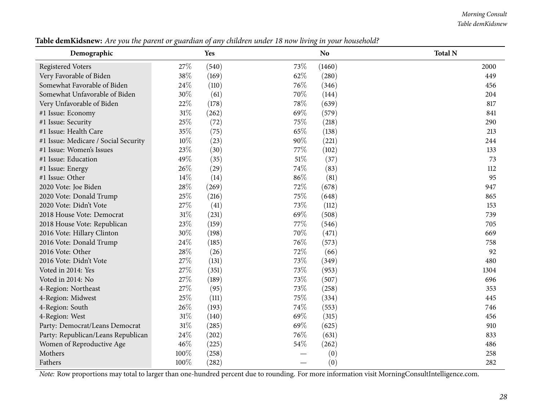#### *Morning Consult Table demKidsnew*

| Demographic                          |        | <b>Yes</b> |     | <b>No</b> | <b>Total N</b>                                                                                                                                 |  |  |  |  |  |  |  |
|--------------------------------------|--------|------------|-----|-----------|------------------------------------------------------------------------------------------------------------------------------------------------|--|--|--|--|--|--|--|
| <b>Registered Voters</b>             | 27%    | (540)      | 73% | (1460)    | 2000                                                                                                                                           |  |  |  |  |  |  |  |
| Very Favorable of Biden              | 38%    | (169)      | 62% | (280)     | 449                                                                                                                                            |  |  |  |  |  |  |  |
| Somewhat Favorable of Biden          | 24\%   | (110)      | 76% | (346)     | 456                                                                                                                                            |  |  |  |  |  |  |  |
| Somewhat Unfavorable of Biden        | 30%    | (61)       | 70% | (144)     | 204                                                                                                                                            |  |  |  |  |  |  |  |
| Very Unfavorable of Biden            | 22%    | (178)      | 78% | (639)     | 817                                                                                                                                            |  |  |  |  |  |  |  |
| #1 Issue: Economy                    | 31%    | (262)      | 69% | (579)     | 841                                                                                                                                            |  |  |  |  |  |  |  |
| #1 Issue: Security                   | 25%    | (72)       | 75% | (218)     | 290                                                                                                                                            |  |  |  |  |  |  |  |
| #1 Issue: Health Care                | 35%    | (75)       | 65% | (138)     | 213                                                                                                                                            |  |  |  |  |  |  |  |
| #1 Issue: Medicare / Social Security | 10%    | (23)       | 90% | (221)     | 244                                                                                                                                            |  |  |  |  |  |  |  |
| #1 Issue: Women's Issues             | 23%    | (30)       | 77% | (102)     | 133                                                                                                                                            |  |  |  |  |  |  |  |
| #1 Issue: Education                  | 49%    | (35)       | 51% | (37)      | 73                                                                                                                                             |  |  |  |  |  |  |  |
| #1 Issue: Energy                     | 26%    | (29)       | 74% | (83)      | 112                                                                                                                                            |  |  |  |  |  |  |  |
| #1 Issue: Other                      | 14%    | (14)       | 86% | (81)      | 95                                                                                                                                             |  |  |  |  |  |  |  |
| 2020 Vote: Joe Biden                 | 28%    | (269)      | 72% | (678)     | 947                                                                                                                                            |  |  |  |  |  |  |  |
| 2020 Vote: Donald Trump              | 25%    | (216)      | 75% | (648)     | 865                                                                                                                                            |  |  |  |  |  |  |  |
| 2020 Vote: Didn't Vote               | 27%    | (41)       | 73% | (112)     | 153                                                                                                                                            |  |  |  |  |  |  |  |
| 2018 House Vote: Democrat            | $31\%$ | (231)      | 69% | (508)     | 739                                                                                                                                            |  |  |  |  |  |  |  |
| 2018 House Vote: Republican          | 23%    | (159)      | 77% | (546)     | 705                                                                                                                                            |  |  |  |  |  |  |  |
| 2016 Vote: Hillary Clinton           | 30%    | (198)      | 70% | (471)     | 669                                                                                                                                            |  |  |  |  |  |  |  |
| 2016 Vote: Donald Trump              | 24\%   | (185)      | 76% | (573)     | 758                                                                                                                                            |  |  |  |  |  |  |  |
| 2016 Vote: Other                     | 28%    | (26)       | 72% | (66)      | 92                                                                                                                                             |  |  |  |  |  |  |  |
| 2016 Vote: Didn't Vote               | 27%    | (131)      | 73% | (349)     | 480                                                                                                                                            |  |  |  |  |  |  |  |
| Voted in 2014: Yes                   | 27%    | (351)      | 73% | (953)     | 1304                                                                                                                                           |  |  |  |  |  |  |  |
| Voted in 2014: No                    | 27%    | (189)      | 73% | (507)     | 696                                                                                                                                            |  |  |  |  |  |  |  |
| 4-Region: Northeast                  | 27%    | (95)       | 73% | (258)     | 353                                                                                                                                            |  |  |  |  |  |  |  |
| 4-Region: Midwest                    | 25%    | (111)      | 75% | (334)     | 445                                                                                                                                            |  |  |  |  |  |  |  |
| 4-Region: South                      | 26%    | (193)      | 74% | (553)     | 746                                                                                                                                            |  |  |  |  |  |  |  |
| 4-Region: West                       | 31%    | (140)      | 69% | (315)     | 456                                                                                                                                            |  |  |  |  |  |  |  |
| Party: Democrat/Leans Democrat       | 31%    | (285)      | 69% | (625)     | 910                                                                                                                                            |  |  |  |  |  |  |  |
| Party: Republican/Leans Republican   | 24\%   | (202)      | 76% | (631)     | 833                                                                                                                                            |  |  |  |  |  |  |  |
| Women of Reproductive Age            | 46%    | (225)      | 54% | (262)     | 486                                                                                                                                            |  |  |  |  |  |  |  |
| Mothers                              | 100%   | (258)      |     | (0)       | 258                                                                                                                                            |  |  |  |  |  |  |  |
| Fathers                              | 100%   | (282)      |     | (0)       | 282                                                                                                                                            |  |  |  |  |  |  |  |
|                                      |        |            |     |           | Note: Row proportions may total to larger than one-hundred percent due to rounding. For more information visit MorningConsultIntelligence.com. |  |  |  |  |  |  |  |

Table demKidsnew: Are you the parent or guardian of any children under 18 now living in your household?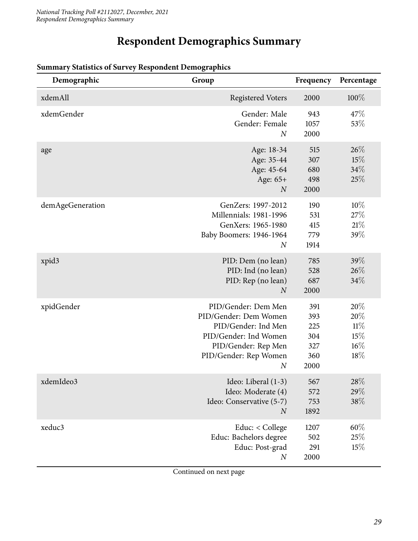# **Respondent Demographics Summary**

| Demographic      | Group                                                                                                                                                            | Frequency                                      | Percentage                                |
|------------------|------------------------------------------------------------------------------------------------------------------------------------------------------------------|------------------------------------------------|-------------------------------------------|
| xdemAll          | <b>Registered Voters</b>                                                                                                                                         | 2000                                           | 100%                                      |
| xdemGender       | Gender: Male<br>Gender: Female<br>$\overline{N}$                                                                                                                 | 943<br>1057<br>2000                            | 47\%<br>53%                               |
| age              | Age: 18-34<br>Age: 35-44<br>Age: 45-64<br>Age: 65+<br>$\boldsymbol{N}$                                                                                           | 515<br>307<br>680<br>498<br>2000               | 26%<br>15%<br>34%<br>25%                  |
| demAgeGeneration | GenZers: 1997-2012<br>Millennials: 1981-1996<br>GenXers: 1965-1980<br>Baby Boomers: 1946-1964<br>$\overline{N}$                                                  | 190<br>531<br>415<br>779<br>1914               | 10%<br>27%<br>21%<br>39%                  |
| xpid3            | PID: Dem (no lean)<br>PID: Ind (no lean)<br>PID: Rep (no lean)<br>$\overline{N}$                                                                                 | 785<br>528<br>687<br>2000                      | 39%<br>26%<br>34%                         |
| xpidGender       | PID/Gender: Dem Men<br>PID/Gender: Dem Women<br>PID/Gender: Ind Men<br>PID/Gender: Ind Women<br>PID/Gender: Rep Men<br>PID/Gender: Rep Women<br>$\boldsymbol{N}$ | 391<br>393<br>225<br>304<br>327<br>360<br>2000 | 20%<br>20%<br>11%<br>15%<br>$16\%$<br>18% |
| xdemIdeo3        | Ideo: Liberal (1-3)<br>Ideo: Moderate (4)<br>Ideo: Conservative (5-7)<br>$\boldsymbol{N}$                                                                        | 567<br>572<br>753<br>1892                      | $28\%$<br>29%<br>38\%                     |
| xeduc3           | Educ: < College<br>Educ: Bachelors degree<br>Educ: Post-grad<br>$\boldsymbol{N}$                                                                                 | 1207<br>502<br>291<br>2000                     | $60\%$<br>25%<br>15%                      |

#### <span id="page-28-0"></span>**Summary Statistics of Survey Respondent Demographics**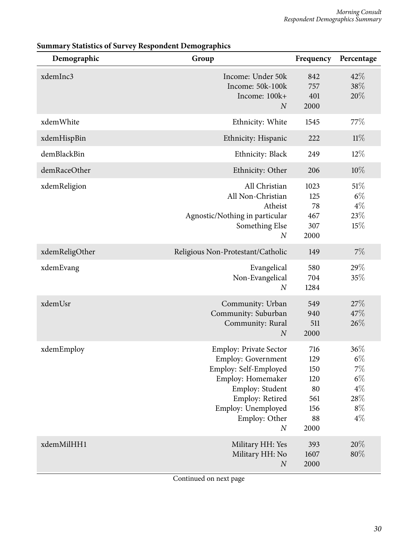| Demographic    | Group                                                                                                                                                                                                     | Frequency                                                  | Percentage                                                          |
|----------------|-----------------------------------------------------------------------------------------------------------------------------------------------------------------------------------------------------------|------------------------------------------------------------|---------------------------------------------------------------------|
| xdemInc3       | Income: Under 50k<br>Income: 50k-100k<br>Income: 100k+<br>$\boldsymbol{N}$                                                                                                                                | 842<br>757<br>401<br>2000                                  | 42%<br>38%<br>20%                                                   |
| xdemWhite      | Ethnicity: White                                                                                                                                                                                          | 1545                                                       | 77\%                                                                |
| xdemHispBin    | Ethnicity: Hispanic                                                                                                                                                                                       | 222                                                        | 11%                                                                 |
| demBlackBin    | Ethnicity: Black                                                                                                                                                                                          | 249                                                        | $12\%$                                                              |
| demRaceOther   | Ethnicity: Other                                                                                                                                                                                          | 206                                                        | 10%                                                                 |
| xdemReligion   | All Christian<br>All Non-Christian<br>Atheist<br>Agnostic/Nothing in particular<br>Something Else<br>$\boldsymbol{N}$                                                                                     | 1023<br>125<br>78<br>467<br>307<br>2000                    | 51%<br>$6\%$<br>$4\%$<br>23%<br>15%                                 |
| xdemReligOther | Religious Non-Protestant/Catholic                                                                                                                                                                         | 149                                                        | 7%                                                                  |
| xdemEvang      | Evangelical<br>Non-Evangelical<br>$\boldsymbol{N}$                                                                                                                                                        | 580<br>704<br>1284                                         | 29%<br>35%                                                          |
| xdemUsr        | Community: Urban<br>Community: Suburban<br>Community: Rural<br>$\boldsymbol{N}$                                                                                                                           | 549<br>940<br>511<br>2000                                  | 27%<br>47%<br>26%                                                   |
| xdemEmploy     | <b>Employ: Private Sector</b><br><b>Employ: Government</b><br>Employ: Self-Employed<br>Employ: Homemaker<br>Employ: Student<br>Employ: Retired<br>Employ: Unemployed<br>Employ: Other<br>$\boldsymbol{N}$ | 716<br>129<br>150<br>120<br>80<br>561<br>156<br>88<br>2000 | 36%<br>$6\%$<br>$7\%$<br>$6\%$<br>$4\%$<br>$28\%$<br>$8\%$<br>$4\%$ |
| xdemMilHH1     | Military HH: Yes<br>Military HH: No<br>$\boldsymbol{N}$                                                                                                                                                   | 393<br>1607<br>2000                                        | 20%<br>80%                                                          |

## **Summary Statistics of Survey Respondent Demographics**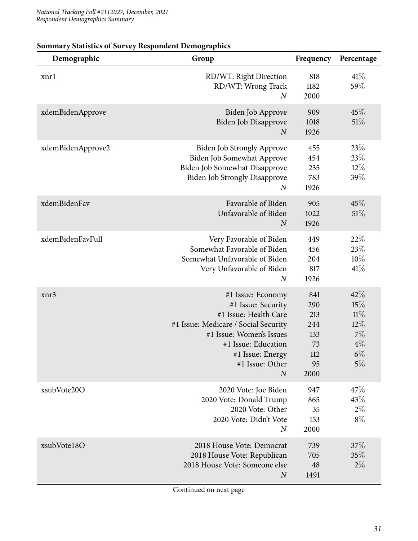| Demographic       | Group                                                                                                                                                                                                                  | Frequency                                                  | Percentage                                                |
|-------------------|------------------------------------------------------------------------------------------------------------------------------------------------------------------------------------------------------------------------|------------------------------------------------------------|-----------------------------------------------------------|
| xnrl              | RD/WT: Right Direction<br>RD/WT: Wrong Track<br>$\boldsymbol{N}$                                                                                                                                                       | 818<br>1182<br>2000                                        | 41%<br>59%                                                |
| xdemBidenApprove  | Biden Job Approve<br>Biden Job Disapprove<br>$\boldsymbol{N}$                                                                                                                                                          | 909<br>1018<br>1926                                        | 45%<br>51%                                                |
| xdemBidenApprove2 | <b>Biden Job Strongly Approve</b><br>Biden Job Somewhat Approve<br>Biden Job Somewhat Disapprove<br><b>Biden Job Strongly Disapprove</b><br>$\boldsymbol{N}$                                                           | 455<br>454<br>235<br>783<br>1926                           | 23%<br>23%<br>$12\%$<br>39%                               |
| xdemBidenFav      | Favorable of Biden<br>Unfavorable of Biden<br>$\boldsymbol{N}$                                                                                                                                                         | 905<br>1022<br>1926                                        | 45%<br>51%                                                |
| xdemBidenFavFull  | Very Favorable of Biden<br>Somewhat Favorable of Biden<br>Somewhat Unfavorable of Biden<br>Very Unfavorable of Biden<br>$\boldsymbol{N}$                                                                               | 449<br>456<br>204<br>817<br>1926                           | 22%<br>23\%<br>10%<br>41%                                 |
| xnr3              | #1 Issue: Economy<br>#1 Issue: Security<br>#1 Issue: Health Care<br>#1 Issue: Medicare / Social Security<br>#1 Issue: Women's Issues<br>#1 Issue: Education<br>#1 Issue: Energy<br>#1 Issue: Other<br>$\boldsymbol{N}$ | 841<br>290<br>213<br>244<br>133<br>73<br>112<br>95<br>2000 | 42%<br>15%<br>11%<br>$12\%$<br>7%<br>$4\%$<br>$6\%$<br>5% |
| xsubVote20O       | 2020 Vote: Joe Biden<br>2020 Vote: Donald Trump<br>2020 Vote: Other<br>2020 Vote: Didn't Vote<br>$\boldsymbol{N}$                                                                                                      | 947<br>865<br>35<br>153<br>2000                            | 47\%<br>43%<br>$2\%$<br>$8\%$                             |
| xsubVote18O       | 2018 House Vote: Democrat<br>2018 House Vote: Republican<br>2018 House Vote: Someone else<br>$\boldsymbol{N}$                                                                                                          | 739<br>705<br>48<br>1491                                   | 37%<br>35%<br>$2\%$                                       |

## **Summary Statistics of Survey Respondent Demographics**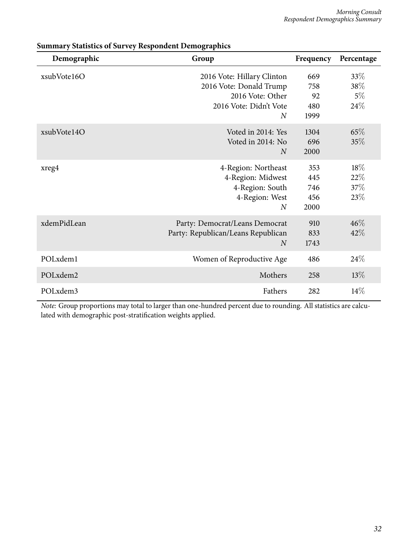| Demographic | Group                                                                                                                 | Frequency                        | Percentage                     |
|-------------|-----------------------------------------------------------------------------------------------------------------------|----------------------------------|--------------------------------|
| xsubVote16O | 2016 Vote: Hillary Clinton<br>2016 Vote: Donald Trump<br>2016 Vote: Other<br>2016 Vote: Didn't Vote<br>$\overline{N}$ | 669<br>758<br>92<br>480<br>1999  | 33%<br>$38\%$<br>$5\%$<br>24\% |
| xsubVote14O | Voted in 2014: Yes<br>Voted in 2014: No<br>$\overline{N}$                                                             | 1304<br>696<br>2000              | 65\%<br>35%                    |
| xreg4       | 4-Region: Northeast<br>4-Region: Midwest<br>4-Region: South<br>4-Region: West<br>$\overline{N}$                       | 353<br>445<br>746<br>456<br>2000 | $18\%$<br>22%<br>37%<br>23%    |
| xdemPidLean | Party: Democrat/Leans Democrat<br>Party: Republican/Leans Republican<br>$\overline{N}$                                | 910<br>833<br>1743               | $46\%$<br>42%                  |
| POLxdem1    | Women of Reproductive Age                                                                                             | 486                              | 24%                            |
| POLxdem2    | Mothers                                                                                                               | 258                              | $13\%$                         |
| POLxdem3    | Fathers                                                                                                               | 282                              | $14\%$                         |

|  |  | <b>Summary Statistics of Survey Respondent Demographics</b> |
|--|--|-------------------------------------------------------------|
|  |  |                                                             |

*Note:* Group proportions may total to larger than one-hundred percent due to rounding. All statistics are calculated with demographic post-stratification weights applied.